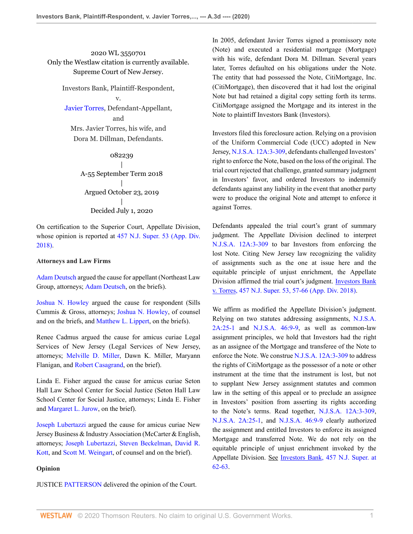2020 WL 3550701 Only the Westlaw citation is currently available. Supreme Court of New Jersey.

Investors Bank, Plaintiff-Respondent,

v. [Javier Torres](http://www.westlaw.com/Search/Results.html?query=advanced%3a+OAID(5017821395)&saveJuris=False&contentType=BUSINESS-INVESTIGATOR&startIndex=1&contextData=(sc.Default)&categoryPageUrl=Home%2fCompanyInvestigator&originationContext=document&vr=3.0&rs=cblt1.0&transitionType=DocumentItem), Defendant-Appellant, and Mrs. Javier Torres, his wife, and Dora M. Dillman, Defendants.

> 082239 | A-55 September Term 2018 | Argued October 23, 2019 | Decided July 1, 2020

On certification to the Superior Court, Appellate Division, whose opinion is reported at [457 N.J. Super. 53 \(App. Div.](http://www.westlaw.com/Link/Document/FullText?findType=Y&serNum=2045994883&pubNum=0000590&originatingDoc=I9d55ef20bbb911ea93a0cf5da1431849&refType=RP&originationContext=document&vr=3.0&rs=cblt1.0&transitionType=DocumentItem&contextData=(sc.Keycite)) [2018\)](http://www.westlaw.com/Link/Document/FullText?findType=Y&serNum=2045994883&pubNum=0000590&originatingDoc=I9d55ef20bbb911ea93a0cf5da1431849&refType=RP&originationContext=document&vr=3.0&rs=cblt1.0&transitionType=DocumentItem&contextData=(sc.Keycite)).

#### **Attorneys and Law Firms**

[Adam Deutsch](http://www.westlaw.com/Link/Document/FullText?findType=h&pubNum=176284&cite=0513188801&originatingDoc=I9d55ef20bbb911ea93a0cf5da1431849&refType=RQ&originationContext=document&vr=3.0&rs=cblt1.0&transitionType=DocumentItem&contextData=(sc.Keycite)) argued the cause for appellant (Northeast Law Group, attorneys; [Adam Deutsch](http://www.westlaw.com/Link/Document/FullText?findType=h&pubNum=176284&cite=0513188801&originatingDoc=I9d55ef20bbb911ea93a0cf5da1431849&refType=RQ&originationContext=document&vr=3.0&rs=cblt1.0&transitionType=DocumentItem&contextData=(sc.Keycite)), on the briefs).

[Joshua N. Howley](http://www.westlaw.com/Link/Document/FullText?findType=h&pubNum=176284&cite=0326847801&originatingDoc=I9d55ef20bbb911ea93a0cf5da1431849&refType=RQ&originationContext=document&vr=3.0&rs=cblt1.0&transitionType=DocumentItem&contextData=(sc.Keycite)) argued the cause for respondent (Sills Cummis & Gross, attorneys; [Joshua N. Howley](http://www.westlaw.com/Link/Document/FullText?findType=h&pubNum=176284&cite=0326847801&originatingDoc=I9d55ef20bbb911ea93a0cf5da1431849&refType=RQ&originationContext=document&vr=3.0&rs=cblt1.0&transitionType=DocumentItem&contextData=(sc.Keycite)), of counsel and on the briefs, and [Matthew L. Lippert](http://www.westlaw.com/Link/Document/FullText?findType=h&pubNum=176284&cite=0422024801&originatingDoc=I9d55ef20bbb911ea93a0cf5da1431849&refType=RQ&originationContext=document&vr=3.0&rs=cblt1.0&transitionType=DocumentItem&contextData=(sc.Keycite)), on the briefs).

Renee Cadmus argued the cause for amicus curiae Legal Services of New Jersey (Legal Services of New Jersey, attorneys; [Melville D. Miller](http://www.westlaw.com/Link/Document/FullText?findType=h&pubNum=176284&cite=0199507701&originatingDoc=I9d55ef20bbb911ea93a0cf5da1431849&refType=RQ&originationContext=document&vr=3.0&rs=cblt1.0&transitionType=DocumentItem&contextData=(sc.Keycite)), Dawn K. Miller, Maryann Flanigan, and [Robert Casagrand,](http://www.westlaw.com/Link/Document/FullText?findType=h&pubNum=176284&cite=0409576201&originatingDoc=I9d55ef20bbb911ea93a0cf5da1431849&refType=RQ&originationContext=document&vr=3.0&rs=cblt1.0&transitionType=DocumentItem&contextData=(sc.Keycite)) on the brief).

Linda E. Fisher argued the cause for amicus curiae Seton Hall Law School Center for Social Justice (Seton Hall Law School Center for Social Justice, attorneys; Linda E. Fisher and [Margaret L. Jurow](http://www.westlaw.com/Link/Document/FullText?findType=h&pubNum=176284&cite=0360442201&originatingDoc=I9d55ef20bbb911ea93a0cf5da1431849&refType=RQ&originationContext=document&vr=3.0&rs=cblt1.0&transitionType=DocumentItem&contextData=(sc.Keycite)), on the brief).

[Joseph Lubertazzi](http://www.westlaw.com/Link/Document/FullText?findType=h&pubNum=176284&cite=0326323901&originatingDoc=I9d55ef20bbb911ea93a0cf5da1431849&refType=RQ&originationContext=document&vr=3.0&rs=cblt1.0&transitionType=DocumentItem&contextData=(sc.Keycite)) argued the cause for amicus curiae New Jersey Business & Industry Association (McCarter & English, attorneys; [Joseph Lubertazzi,](http://www.westlaw.com/Link/Document/FullText?findType=h&pubNum=176284&cite=0326323901&originatingDoc=I9d55ef20bbb911ea93a0cf5da1431849&refType=RQ&originationContext=document&vr=3.0&rs=cblt1.0&transitionType=DocumentItem&contextData=(sc.Keycite)) [Steven Beckelman](http://www.westlaw.com/Link/Document/FullText?findType=h&pubNum=176284&cite=0117089801&originatingDoc=I9d55ef20bbb911ea93a0cf5da1431849&refType=RQ&originationContext=document&vr=3.0&rs=cblt1.0&transitionType=DocumentItem&contextData=(sc.Keycite)), [David R.](http://www.westlaw.com/Link/Document/FullText?findType=h&pubNum=176284&cite=0121624001&originatingDoc=I9d55ef20bbb911ea93a0cf5da1431849&refType=RQ&originationContext=document&vr=3.0&rs=cblt1.0&transitionType=DocumentItem&contextData=(sc.Keycite)) [Kott,](http://www.westlaw.com/Link/Document/FullText?findType=h&pubNum=176284&cite=0121624001&originatingDoc=I9d55ef20bbb911ea93a0cf5da1431849&refType=RQ&originationContext=document&vr=3.0&rs=cblt1.0&transitionType=DocumentItem&contextData=(sc.Keycite)) and [Scott M. Weingart,](http://www.westlaw.com/Link/Document/FullText?findType=h&pubNum=176284&cite=0501325499&originatingDoc=I9d55ef20bbb911ea93a0cf5da1431849&refType=RQ&originationContext=document&vr=3.0&rs=cblt1.0&transitionType=DocumentItem&contextData=(sc.Keycite)) of counsel and on the brief).

#### **Opinion**

JUSTICE [PATTERSON](http://www.westlaw.com/Link/Document/FullText?findType=h&pubNum=176284&cite=0162596001&originatingDoc=I9d55ef20bbb911ea93a0cf5da1431849&refType=RQ&originationContext=document&vr=3.0&rs=cblt1.0&transitionType=DocumentItem&contextData=(sc.Keycite)) delivered the opinion of the Court.

In 2005, defendant Javier Torres signed a promissory note (Note) and executed a residential mortgage (Mortgage) with his wife, defendant Dora M. Dillman. Several years later, Torres defaulted on his obligations under the Note. The entity that had possessed the Note, CitiMortgage, Inc. (CitiMortgage), then discovered that it had lost the original Note but had retained a digital copy setting forth its terms. CitiMortgage assigned the Mortgage and its interest in the Note to plaintiff Investors Bank (Investors).

Investors filed this foreclosure action. Relying on a provision of the Uniform Commercial Code (UCC) adopted in New Jersey, [N.J.S.A. 12A:3-309](http://www.westlaw.com/Link/Document/FullText?findType=L&pubNum=1000045&cite=NJST12A%3a3-309&originatingDoc=I9d55ef20bbb911ea93a0cf5da1431849&refType=LQ&originationContext=document&vr=3.0&rs=cblt1.0&transitionType=DocumentItem&contextData=(sc.Keycite)), defendants challenged Investors' right to enforce the Note, based on the loss of the original. The trial court rejected that challenge, granted summary judgment in Investors' favor, and ordered Investors to indemnify defendants against any liability in the event that another party were to produce the original Note and attempt to enforce it against Torres.

Defendants appealed the trial court's grant of summary judgment. The Appellate Division declined to interpret [N.J.S.A. 12A:3-309](http://www.westlaw.com/Link/Document/FullText?findType=L&pubNum=1000045&cite=NJST12A%3a3-309&originatingDoc=I9d55ef20bbb911ea93a0cf5da1431849&refType=LQ&originationContext=document&vr=3.0&rs=cblt1.0&transitionType=DocumentItem&contextData=(sc.Keycite)) to bar Investors from enforcing the lost Note. Citing New Jersey law recognizing the validity of assignments such as the one at issue here and the equitable principle of unjust enrichment, the Appellate Division affirmed the trial court's judgment. [Investors Bank](http://www.westlaw.com/Link/Document/FullText?findType=Y&serNum=2045994883&pubNum=0000590&originatingDoc=I9d55ef20bbb911ea93a0cf5da1431849&refType=RP&fi=co_pp_sp_590_57&originationContext=document&vr=3.0&rs=cblt1.0&transitionType=DocumentItem&contextData=(sc.Keycite)#co_pp_sp_590_57) [v. Torres, 457 N.J. Super. 53, 57-66 \(App. Div. 2018\).](http://www.westlaw.com/Link/Document/FullText?findType=Y&serNum=2045994883&pubNum=0000590&originatingDoc=I9d55ef20bbb911ea93a0cf5da1431849&refType=RP&fi=co_pp_sp_590_57&originationContext=document&vr=3.0&rs=cblt1.0&transitionType=DocumentItem&contextData=(sc.Keycite)#co_pp_sp_590_57)

We affirm as modified the Appellate Division's judgment. Relying on two statutes addressing assignments, [N.J.S.A.](http://www.westlaw.com/Link/Document/FullText?findType=L&pubNum=1000045&cite=NJST2A%3a25-1&originatingDoc=I9d55ef20bbb911ea93a0cf5da1431849&refType=LQ&originationContext=document&vr=3.0&rs=cblt1.0&transitionType=DocumentItem&contextData=(sc.Keycite)) [2A:25-1](http://www.westlaw.com/Link/Document/FullText?findType=L&pubNum=1000045&cite=NJST2A%3a25-1&originatingDoc=I9d55ef20bbb911ea93a0cf5da1431849&refType=LQ&originationContext=document&vr=3.0&rs=cblt1.0&transitionType=DocumentItem&contextData=(sc.Keycite)) and [N.J.S.A. 46:9-9,](http://www.westlaw.com/Link/Document/FullText?findType=L&pubNum=1000045&cite=NJST46%3a9-9&originatingDoc=I9d55ef20bbb911ea93a0cf5da1431849&refType=LQ&originationContext=document&vr=3.0&rs=cblt1.0&transitionType=DocumentItem&contextData=(sc.Keycite)) as well as common-law assignment principles, we hold that Investors had the right as an assignee of the Mortgage and transferee of the Note to enforce the Note. We construe [N.J.S.A. 12A:3-309](http://www.westlaw.com/Link/Document/FullText?findType=L&pubNum=1000045&cite=NJST12A%3a3-309&originatingDoc=I9d55ef20bbb911ea93a0cf5da1431849&refType=LQ&originationContext=document&vr=3.0&rs=cblt1.0&transitionType=DocumentItem&contextData=(sc.Keycite)) to address the rights of CitiMortgage as the possessor of a note or other instrument at the time that the instrument is lost, but not to supplant New Jersey assignment statutes and common law in the setting of this appeal or to preclude an assignee in Investors' position from asserting its rights according to the Note's terms. Read together, [N.J.S.A. 12A:3-309](http://www.westlaw.com/Link/Document/FullText?findType=L&pubNum=1000045&cite=NJST12A%3a3-309&originatingDoc=I9d55ef20bbb911ea93a0cf5da1431849&refType=LQ&originationContext=document&vr=3.0&rs=cblt1.0&transitionType=DocumentItem&contextData=(sc.Keycite)), [N.J.S.A. 2A:25-1](http://www.westlaw.com/Link/Document/FullText?findType=L&pubNum=1000045&cite=NJST2A%3a25-1&originatingDoc=I9d55ef20bbb911ea93a0cf5da1431849&refType=LQ&originationContext=document&vr=3.0&rs=cblt1.0&transitionType=DocumentItem&contextData=(sc.Keycite)), and [N.J.S.A. 46:9-9](http://www.westlaw.com/Link/Document/FullText?findType=L&pubNum=1000045&cite=NJST46%3a9-9&originatingDoc=I9d55ef20bbb911ea93a0cf5da1431849&refType=LQ&originationContext=document&vr=3.0&rs=cblt1.0&transitionType=DocumentItem&contextData=(sc.Keycite)) clearly authorized the assignment and entitled Investors to enforce its assigned Mortgage and transferred Note. We do not rely on the equitable principle of unjust enrichment invoked by the Appellate Division. See [Investors Bank, 457 N.J. Super. at](http://www.westlaw.com/Link/Document/FullText?findType=Y&serNum=2045994883&pubNum=0000590&originatingDoc=I9d55ef20bbb911ea93a0cf5da1431849&refType=RP&fi=co_pp_sp_590_62&originationContext=document&vr=3.0&rs=cblt1.0&transitionType=DocumentItem&contextData=(sc.Keycite)#co_pp_sp_590_62) [62-63](http://www.westlaw.com/Link/Document/FullText?findType=Y&serNum=2045994883&pubNum=0000590&originatingDoc=I9d55ef20bbb911ea93a0cf5da1431849&refType=RP&fi=co_pp_sp_590_62&originationContext=document&vr=3.0&rs=cblt1.0&transitionType=DocumentItem&contextData=(sc.Keycite)#co_pp_sp_590_62).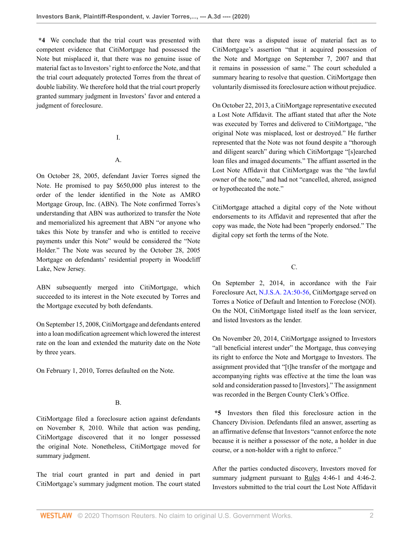**\*4** We conclude that the trial court was presented with competent evidence that CitiMortgage had possessed the Note but misplaced it, that there was no genuine issue of material fact as to Investors' right to enforce the Note, and that the trial court adequately protected Torres from the threat of double liability. We therefore hold that the trial court properly granted summary judgment in Investors' favor and entered a judgment of foreclosure.

I.

# A.

On October 28, 2005, defendant Javier Torres signed the Note. He promised to pay \$650,000 plus interest to the order of the lender identified in the Note as AMRO Mortgage Group, Inc. (ABN). The Note confirmed Torres's understanding that ABN was authorized to transfer the Note and memorialized his agreement that ABN "or anyone who takes this Note by transfer and who is entitled to receive payments under this Note" would be considered the "Note Holder." The Note was secured by the October 28, 2005 Mortgage on defendants' residential property in Woodcliff Lake, New Jersey.

ABN subsequently merged into CitiMortgage, which succeeded to its interest in the Note executed by Torres and the Mortgage executed by both defendants.

On September 15, 2008, CitiMortgage and defendants entered into a loan modification agreement which lowered the interest rate on the loan and extended the maturity date on the Note by three years.

On February 1, 2010, Torres defaulted on the Note.

# B.

CitiMortgage filed a foreclosure action against defendants on November 8, 2010. While that action was pending, CitiMortgage discovered that it no longer possessed the original Note. Nonetheless, CitiMortgage moved for summary judgment.

The trial court granted in part and denied in part CitiMortgage's summary judgment motion. The court stated that there was a disputed issue of material fact as to CitiMortgage's assertion "that it acquired possession of the Note and Mortgage on September 7, 2007 and that it remains in possession of same." The court scheduled a summary hearing to resolve that question. CitiMortgage then voluntarily dismissed its foreclosure action without prejudice.

On October 22, 2013, a CitiMortgage representative executed a Lost Note Affidavit. The affiant stated that after the Note was executed by Torres and delivered to CitiMortgage, "the original Note was misplaced, lost or destroyed." He further represented that the Note was not found despite a "thorough and diligent search" during which CitiMortgage "[s]earched loan files and imaged documents." The affiant asserted in the Lost Note Affidavit that CitiMortgage was the "the lawful owner of the note," and had not "cancelled, altered, assigned or hypothecated the note."

CitiMortgage attached a digital copy of the Note without endorsements to its Affidavit and represented that after the copy was made, the Note had been "properly endorsed." The digital copy set forth the terms of the Note.

C.

On September 2, 2014, in accordance with the Fair Foreclosure Act, [N.J.S.A. 2A:50-56](http://www.westlaw.com/Link/Document/FullText?findType=L&pubNum=1000045&cite=NJST2A%3a50-56&originatingDoc=I9d55ef20bbb911ea93a0cf5da1431849&refType=LQ&originationContext=document&vr=3.0&rs=cblt1.0&transitionType=DocumentItem&contextData=(sc.Keycite)), CitiMortgage served on Torres a Notice of Default and Intention to Foreclose (NOI). On the NOI, CitiMortgage listed itself as the loan servicer, and listed Investors as the lender.

On November 20, 2014, CitiMortgage assigned to Investors "all beneficial interest under" the Mortgage, thus conveying its right to enforce the Note and Mortgage to Investors. The assignment provided that "[t]he transfer of the mortgage and accompanying rights was effective at the time the loan was sold and consideration passed to [Investors]." The assignment was recorded in the Bergen County Clerk's Office.

**\*5** Investors then filed this foreclosure action in the Chancery Division. Defendants filed an answer, asserting as an affirmative defense that Investors "cannot enforce the note because it is neither a possessor of the note, a holder in due course, or a non-holder with a right to enforce."

After the parties conducted discovery, Investors moved for summary judgment pursuant to Rules 4:46-1 and 4:46-2. Investors submitted to the trial court the Lost Note Affidavit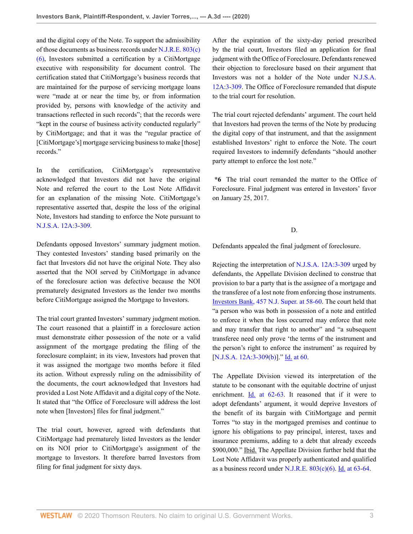and the digital copy of the Note. To support the admissibility of those documents as business records under [N.J.R.E. 803\(c\)](http://www.westlaw.com/Link/Document/FullText?findType=L&pubNum=1003066&cite=NJSTREVNJRE803&originatingDoc=I9d55ef20bbb911ea93a0cf5da1431849&refType=SP&originationContext=document&vr=3.0&rs=cblt1.0&transitionType=DocumentItem&contextData=(sc.Keycite)#co_pp_7c0e00007efa7) [\(6\),](http://www.westlaw.com/Link/Document/FullText?findType=L&pubNum=1003066&cite=NJSTREVNJRE803&originatingDoc=I9d55ef20bbb911ea93a0cf5da1431849&refType=SP&originationContext=document&vr=3.0&rs=cblt1.0&transitionType=DocumentItem&contextData=(sc.Keycite)#co_pp_7c0e00007efa7) Investors submitted a certification by a CitiMortgage executive with responsibility for document control. The certification stated that CitiMortgage's business records that are maintained for the purpose of servicing mortgage loans were "made at or near the time by, or from information provided by, persons with knowledge of the activity and transactions reflected in such records"; that the records were "kept in the course of business activity conducted regularly" by CitiMortgage; and that it was the "regular practice of [CitiMortgage's] mortgage servicing business to make [those] records."

In the certification, CitiMortgage's representative acknowledged that Investors did not have the original Note and referred the court to the Lost Note Affidavit for an explanation of the missing Note. CitiMortgage's representative asserted that, despite the loss of the original Note, Investors had standing to enforce the Note pursuant to [N.J.S.A. 12A:3-309.](http://www.westlaw.com/Link/Document/FullText?findType=L&pubNum=1000045&cite=NJST12A%3a3-309&originatingDoc=I9d55ef20bbb911ea93a0cf5da1431849&refType=LQ&originationContext=document&vr=3.0&rs=cblt1.0&transitionType=DocumentItem&contextData=(sc.Keycite))

Defendants opposed Investors' summary judgment motion. They contested Investors' standing based primarily on the fact that Investors did not have the original Note. They also asserted that the NOI served by CitiMortgage in advance of the foreclosure action was defective because the NOI prematurely designated Investors as the lender two months before CitiMortgage assigned the Mortgage to Investors.

The trial court granted Investors' summary judgment motion. The court reasoned that a plaintiff in a foreclosure action must demonstrate either possession of the note or a valid assignment of the mortgage predating the filing of the foreclosure complaint; in its view, Investors had proven that it was assigned the mortgage two months before it filed its action. Without expressly ruling on the admissibility of the documents, the court acknowledged that Investors had provided a Lost Note Affidavit and a digital copy of the Note. It stated that "the Office of Foreclosure will address the lost note when [Investors] files for final judgment."

The trial court, however, agreed with defendants that CitiMortgage had prematurely listed Investors as the lender on its NOI prior to CitiMortgage's assignment of the mortgage to Investors. It therefore barred Investors from filing for final judgment for sixty days.

After the expiration of the sixty-day period prescribed by the trial court, Investors filed an application for final judgment with the Office of Foreclosure. Defendants renewed their objection to foreclosure based on their argument that Investors was not a holder of the Note under [N.J.S.A.](http://www.westlaw.com/Link/Document/FullText?findType=L&pubNum=1000045&cite=NJST12A%3a3-309&originatingDoc=I9d55ef20bbb911ea93a0cf5da1431849&refType=LQ&originationContext=document&vr=3.0&rs=cblt1.0&transitionType=DocumentItem&contextData=(sc.Keycite)) [12A:3-309](http://www.westlaw.com/Link/Document/FullText?findType=L&pubNum=1000045&cite=NJST12A%3a3-309&originatingDoc=I9d55ef20bbb911ea93a0cf5da1431849&refType=LQ&originationContext=document&vr=3.0&rs=cblt1.0&transitionType=DocumentItem&contextData=(sc.Keycite)). The Office of Foreclosure remanded that dispute to the trial court for resolution.

The trial court rejected defendants' argument. The court held that Investors had proven the terms of the Note by producing the digital copy of that instrument, and that the assignment established Investors' right to enforce the Note. The court required Investors to indemnify defendants "should another party attempt to enforce the lost note."

**\*6** The trial court remanded the matter to the Office of Foreclosure. Final judgment was entered in Investors' favor on January 25, 2017.

# D.

Defendants appealed the final judgment of foreclosure.

Rejecting the interpretation of [N.J.S.A. 12A:3-309](http://www.westlaw.com/Link/Document/FullText?findType=L&pubNum=1000045&cite=NJST12A%3a3-309&originatingDoc=I9d55ef20bbb911ea93a0cf5da1431849&refType=LQ&originationContext=document&vr=3.0&rs=cblt1.0&transitionType=DocumentItem&contextData=(sc.Keycite)) urged by defendants, the Appellate Division declined to construe that provision to bar a party that is the assignee of a mortgage and the transferee of a lost note from enforcing those instruments. [Investors Bank, 457 N.J. Super. at 58-60](http://www.westlaw.com/Link/Document/FullText?findType=Y&serNum=2045994883&pubNum=0000590&originatingDoc=I9d55ef20bbb911ea93a0cf5da1431849&refType=RP&fi=co_pp_sp_590_58&originationContext=document&vr=3.0&rs=cblt1.0&transitionType=DocumentItem&contextData=(sc.Keycite)#co_pp_sp_590_58). The court held that "a person who was both in possession of a note and entitled to enforce it when the loss occurred may enforce that note and may transfer that right to another" and "a subsequent transferee need only prove 'the terms of the instrument and the person's right to enforce the instrument' as required by [\[N.J.S.A. 12A:3-309\(b\)\]](http://www.westlaw.com/Link/Document/FullText?findType=L&pubNum=1000045&cite=NJST12A%3a3-309&originatingDoc=I9d55ef20bbb911ea93a0cf5da1431849&refType=LQ&originationContext=document&vr=3.0&rs=cblt1.0&transitionType=DocumentItem&contextData=(sc.Keycite))." [Id. at 60](http://www.westlaw.com/Link/Document/FullText?findType=Y&serNum=2045994883&pubNum=0000590&originatingDoc=I9d55ef20bbb911ea93a0cf5da1431849&refType=RP&fi=co_pp_sp_590_60&originationContext=document&vr=3.0&rs=cblt1.0&transitionType=DocumentItem&contextData=(sc.Keycite)#co_pp_sp_590_60).

The Appellate Division viewed its interpretation of the statute to be consonant with the equitable doctrine of unjust enrichment. [Id. at 62-63.](http://www.westlaw.com/Link/Document/FullText?findType=Y&serNum=2045994883&pubNum=0000590&originatingDoc=I9d55ef20bbb911ea93a0cf5da1431849&refType=RP&fi=co_pp_sp_590_62&originationContext=document&vr=3.0&rs=cblt1.0&transitionType=DocumentItem&contextData=(sc.Keycite)#co_pp_sp_590_62) It reasoned that if it were to adopt defendants' argument, it would deprive Investors of the benefit of its bargain with CitiMortgage and permit Torres "to stay in the mortgaged premises and continue to ignore his obligations to pay principal, interest, taxes and insurance premiums, adding to a debt that already exceeds \$900,000." Ibid. The Appellate Division further held that the Lost Note Affidavit was properly authenticated and qualified as a business record under [N.J.R.E. 803\(c\)\(6\).](http://www.westlaw.com/Link/Document/FullText?findType=L&pubNum=1003066&cite=NJSTREVNJRE803&originatingDoc=I9d55ef20bbb911ea93a0cf5da1431849&refType=SP&originationContext=document&vr=3.0&rs=cblt1.0&transitionType=DocumentItem&contextData=(sc.Keycite)#co_pp_7c0e00007efa7) [Id. at 63-64.](http://www.westlaw.com/Link/Document/FullText?findType=Y&serNum=2045994883&pubNum=0000590&originatingDoc=I9d55ef20bbb911ea93a0cf5da1431849&refType=RP&fi=co_pp_sp_590_63&originationContext=document&vr=3.0&rs=cblt1.0&transitionType=DocumentItem&contextData=(sc.Keycite)#co_pp_sp_590_63)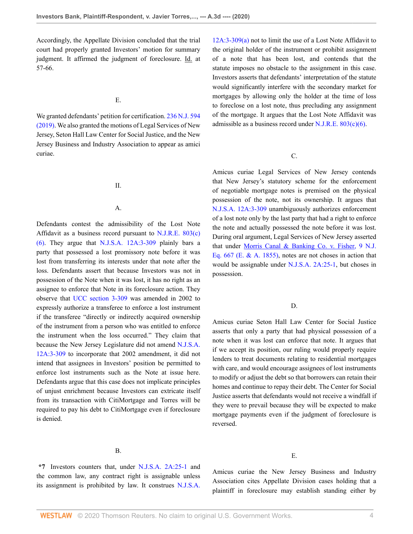Accordingly, the Appellate Division concluded that the trial court had properly granted Investors' motion for summary judgment. It affirmed the judgment of foreclosure. Id. at 57-66.

### E.

We granted defendants' petition for certification. [236 N.J. 594](http://www.westlaw.com/Link/Document/FullText?findType=Y&serNum=2047806004&pubNum=0000583&originatingDoc=I9d55ef20bbb911ea93a0cf5da1431849&refType=RP&originationContext=document&vr=3.0&rs=cblt1.0&transitionType=DocumentItem&contextData=(sc.Keycite)) [\(2019\).](http://www.westlaw.com/Link/Document/FullText?findType=Y&serNum=2047806004&pubNum=0000583&originatingDoc=I9d55ef20bbb911ea93a0cf5da1431849&refType=RP&originationContext=document&vr=3.0&rs=cblt1.0&transitionType=DocumentItem&contextData=(sc.Keycite)) We also granted the motions of Legal Services of New Jersey, Seton Hall Law Center for Social Justice, and the New Jersey Business and Industry Association to appear as amici curiae.

# II.

#### A.

Defendants contest the admissibility of the Lost Note Affidavit as a business record pursuant to [N.J.R.E. 803\(c\)](http://www.westlaw.com/Link/Document/FullText?findType=L&pubNum=1003066&cite=NJSTREVNJRE803&originatingDoc=I9d55ef20bbb911ea93a0cf5da1431849&refType=SP&originationContext=document&vr=3.0&rs=cblt1.0&transitionType=DocumentItem&contextData=(sc.Keycite)#co_pp_7c0e00007efa7) [\(6\).](http://www.westlaw.com/Link/Document/FullText?findType=L&pubNum=1003066&cite=NJSTREVNJRE803&originatingDoc=I9d55ef20bbb911ea93a0cf5da1431849&refType=SP&originationContext=document&vr=3.0&rs=cblt1.0&transitionType=DocumentItem&contextData=(sc.Keycite)#co_pp_7c0e00007efa7) They argue that [N.J.S.A. 12A:3-309](http://www.westlaw.com/Link/Document/FullText?findType=L&pubNum=1000045&cite=NJST12A%3a3-309&originatingDoc=I9d55ef20bbb911ea93a0cf5da1431849&refType=LQ&originationContext=document&vr=3.0&rs=cblt1.0&transitionType=DocumentItem&contextData=(sc.Keycite)) plainly bars a party that possessed a lost promissory note before it was lost from transferring its interests under that note after the loss. Defendants assert that because Investors was not in possession of the Note when it was lost, it has no right as an assignee to enforce that Note in its foreclosure action. They observe that [UCC section 3-309](http://www.westlaw.com/Link/Document/FullText?findType=L&pubNum=1002112&cite=ULUCCS3-309&originatingDoc=I9d55ef20bbb911ea93a0cf5da1431849&refType=LQ&originationContext=document&vr=3.0&rs=cblt1.0&transitionType=DocumentItem&contextData=(sc.Keycite)) was amended in 2002 to expressly authorize a transferee to enforce a lost instrument if the transferee "directly or indirectly acquired ownership of the instrument from a person who was entitled to enforce the instrument when the loss occurred." They claim that because the New Jersey Legislature did not amend [N.J.S.A.](http://www.westlaw.com/Link/Document/FullText?findType=L&pubNum=1000045&cite=NJST12A%3a3-309&originatingDoc=I9d55ef20bbb911ea93a0cf5da1431849&refType=LQ&originationContext=document&vr=3.0&rs=cblt1.0&transitionType=DocumentItem&contextData=(sc.Keycite)) [12A:3-309](http://www.westlaw.com/Link/Document/FullText?findType=L&pubNum=1000045&cite=NJST12A%3a3-309&originatingDoc=I9d55ef20bbb911ea93a0cf5da1431849&refType=LQ&originationContext=document&vr=3.0&rs=cblt1.0&transitionType=DocumentItem&contextData=(sc.Keycite)) to incorporate that 2002 amendment, it did not intend that assignees in Investors' position be permitted to enforce lost instruments such as the Note at issue here. Defendants argue that this case does not implicate principles of unjust enrichment because Investors can extricate itself from its transaction with CitiMortgage and Torres will be required to pay his debt to CitiMortgage even if foreclosure is denied.

# B.

**\*7** Investors counters that, under [N.J.S.A. 2A:25-1](http://www.westlaw.com/Link/Document/FullText?findType=L&pubNum=1000045&cite=NJST2A%3a25-1&originatingDoc=I9d55ef20bbb911ea93a0cf5da1431849&refType=LQ&originationContext=document&vr=3.0&rs=cblt1.0&transitionType=DocumentItem&contextData=(sc.Keycite)) and the common law, any contract right is assignable unless its assignment is prohibited by law. It construes [N.J.S.A.](http://www.westlaw.com/Link/Document/FullText?findType=L&pubNum=1000045&cite=NJST12A%3a3-309&originatingDoc=I9d55ef20bbb911ea93a0cf5da1431849&refType=LQ&originationContext=document&vr=3.0&rs=cblt1.0&transitionType=DocumentItem&contextData=(sc.Keycite))

[12A:3-309\(a\)](http://www.westlaw.com/Link/Document/FullText?findType=L&pubNum=1000045&cite=NJST12A%3a3-309&originatingDoc=I9d55ef20bbb911ea93a0cf5da1431849&refType=LQ&originationContext=document&vr=3.0&rs=cblt1.0&transitionType=DocumentItem&contextData=(sc.Keycite)) not to limit the use of a Lost Note Affidavit to the original holder of the instrument or prohibit assignment of a note that has been lost, and contends that the statute imposes no obstacle to the assignment in this case. Investors asserts that defendants' interpretation of the statute would significantly interfere with the secondary market for mortgages by allowing only the holder at the time of loss to foreclose on a lost note, thus precluding any assignment of the mortgage. It argues that the Lost Note Affidavit was admissible as a business record under N.J.R.E.  $803(c)(6)$ .

# C.

Amicus curiae Legal Services of New Jersey contends that New Jersey's statutory scheme for the enforcement of negotiable mortgage notes is premised on the physical possession of the note, not its ownership. It argues that [N.J.S.A. 12A:3-309](http://www.westlaw.com/Link/Document/FullText?findType=L&pubNum=1000045&cite=NJST12A%3a3-309&originatingDoc=I9d55ef20bbb911ea93a0cf5da1431849&refType=LQ&originationContext=document&vr=3.0&rs=cblt1.0&transitionType=DocumentItem&contextData=(sc.Keycite)) unambiguously authorizes enforcement of a lost note only by the last party that had a right to enforce the note and actually possessed the note before it was lost. During oral argument, Legal Services of New Jersey asserted that under [Morris Canal & Banking Co. v. Fisher, 9 N.J.](http://www.westlaw.com/Link/Document/FullText?findType=Y&serNum=1855008184&pubNum=0000585&originatingDoc=I9d55ef20bbb911ea93a0cf5da1431849&refType=RP&originationContext=document&vr=3.0&rs=cblt1.0&transitionType=DocumentItem&contextData=(sc.Keycite)) [Eq. 667 \(E. & A. 1855\),](http://www.westlaw.com/Link/Document/FullText?findType=Y&serNum=1855008184&pubNum=0000585&originatingDoc=I9d55ef20bbb911ea93a0cf5da1431849&refType=RP&originationContext=document&vr=3.0&rs=cblt1.0&transitionType=DocumentItem&contextData=(sc.Keycite)) notes are not choses in action that would be assignable under [N.J.S.A. 2A:25-1](http://www.westlaw.com/Link/Document/FullText?findType=L&pubNum=1000045&cite=NJST2A%3a25-1&originatingDoc=I9d55ef20bbb911ea93a0cf5da1431849&refType=LQ&originationContext=document&vr=3.0&rs=cblt1.0&transitionType=DocumentItem&contextData=(sc.Keycite)), but choses in possession.

#### D.

Amicus curiae Seton Hall Law Center for Social Justice asserts that only a party that had physical possession of a note when it was lost can enforce that note. It argues that if we accept its position, our ruling would properly require lenders to treat documents relating to residential mortgages with care, and would encourage assignees of lost instruments to modify or adjust the debt so that borrowers can retain their homes and continue to repay their debt. The Center for Social Justice asserts that defendants would not receive a windfall if they were to prevail because they will be expected to make mortgage payments even if the judgment of foreclosure is reversed.

#### E.

Amicus curiae the New Jersey Business and Industry Association cites Appellate Division cases holding that a plaintiff in foreclosure may establish standing either by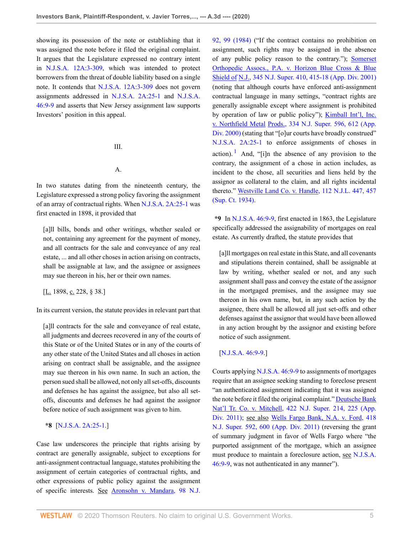showing its possession of the note or establishing that it was assigned the note before it filed the original complaint. It argues that the Legislature expressed no contrary intent in [N.J.S.A. 12A:3-309](http://www.westlaw.com/Link/Document/FullText?findType=L&pubNum=1000045&cite=NJST12A%3a3-309&originatingDoc=I9d55ef20bbb911ea93a0cf5da1431849&refType=LQ&originationContext=document&vr=3.0&rs=cblt1.0&transitionType=DocumentItem&contextData=(sc.Keycite)), which was intended to protect borrowers from the threat of double liability based on a single note. It contends that [N.J.S.A. 12A:3-309](http://www.westlaw.com/Link/Document/FullText?findType=L&pubNum=1000045&cite=NJST12A%3a3-309&originatingDoc=I9d55ef20bbb911ea93a0cf5da1431849&refType=LQ&originationContext=document&vr=3.0&rs=cblt1.0&transitionType=DocumentItem&contextData=(sc.Keycite)) does not govern assignments addressed in [N.J.S.A. 2A:25-1](http://www.westlaw.com/Link/Document/FullText?findType=L&pubNum=1000045&cite=NJST2A%3a25-1&originatingDoc=I9d55ef20bbb911ea93a0cf5da1431849&refType=LQ&originationContext=document&vr=3.0&rs=cblt1.0&transitionType=DocumentItem&contextData=(sc.Keycite)) and [N.J.S.A.](http://www.westlaw.com/Link/Document/FullText?findType=L&pubNum=1000045&cite=NJST46%3a9-9&originatingDoc=I9d55ef20bbb911ea93a0cf5da1431849&refType=LQ&originationContext=document&vr=3.0&rs=cblt1.0&transitionType=DocumentItem&contextData=(sc.Keycite)) [46:9-9](http://www.westlaw.com/Link/Document/FullText?findType=L&pubNum=1000045&cite=NJST46%3a9-9&originatingDoc=I9d55ef20bbb911ea93a0cf5da1431849&refType=LQ&originationContext=document&vr=3.0&rs=cblt1.0&transitionType=DocumentItem&contextData=(sc.Keycite)) and asserts that New Jersey assignment law supports Investors' position in this appeal.

#### III.

### A.

In two statutes dating from the nineteenth century, the Legislature expressed a strong policy favoring the assignment of an array of contractual rights. When [N.J.S.A. 2A:25-1](http://www.westlaw.com/Link/Document/FullText?findType=L&pubNum=1000045&cite=NJST2A%3a25-1&originatingDoc=I9d55ef20bbb911ea93a0cf5da1431849&refType=LQ&originationContext=document&vr=3.0&rs=cblt1.0&transitionType=DocumentItem&contextData=(sc.Keycite)) was first enacted in 1898, it provided that

[a]ll bills, bonds and other writings, whether sealed or not, containing any agreement for the payment of money, and all contracts for the sale and conveyance of any real estate, ... and all other choses in action arising on contracts, shall be assignable at law, and the assignee or assignees may sue thereon in his, her or their own names.

[ $L. 1898, c. 228, § 38.$ ]

In its current version, the statute provides in relevant part that

[a]ll contracts for the sale and conveyance of real estate, all judgments and decrees recovered in any of the courts of this State or of the United States or in any of the courts of any other state of the United States and all choses in action arising on contract shall be assignable, and the assignee may sue thereon in his own name. In such an action, the person sued shall be allowed, not only all set-offs, discounts and defenses he has against the assignee, but also all setoffs, discounts and defenses he had against the assignor before notice of such assignment was given to him.

### **\*8** [[N.J.S.A. 2A:25-1.](http://www.westlaw.com/Link/Document/FullText?findType=L&pubNum=1000045&cite=NJST2A%3a25-1&originatingDoc=I9d55ef20bbb911ea93a0cf5da1431849&refType=LQ&originationContext=document&vr=3.0&rs=cblt1.0&transitionType=DocumentItem&contextData=(sc.Keycite))]

Case law underscores the principle that rights arising by contract are generally assignable, subject to exceptions for anti-assignment contractual language, statutes prohibiting the assignment of certain categories of contractual rights, and other expressions of public policy against the assignment of specific interests. See [Aronsohn v. Mandara, 98 N.J.](http://www.westlaw.com/Link/Document/FullText?findType=Y&serNum=1984159498&pubNum=0000583&originatingDoc=I9d55ef20bbb911ea93a0cf5da1431849&refType=RP&fi=co_pp_sp_583_99&originationContext=document&vr=3.0&rs=cblt1.0&transitionType=DocumentItem&contextData=(sc.Keycite)#co_pp_sp_583_99) [92, 99 \(1984\)](http://www.westlaw.com/Link/Document/FullText?findType=Y&serNum=1984159498&pubNum=0000583&originatingDoc=I9d55ef20bbb911ea93a0cf5da1431849&refType=RP&fi=co_pp_sp_583_99&originationContext=document&vr=3.0&rs=cblt1.0&transitionType=DocumentItem&contextData=(sc.Keycite)#co_pp_sp_583_99) ("If the contract contains no prohibition on assignment, such rights may be assigned in the absence of any public policy reason to the contrary."); [Somerset](http://www.westlaw.com/Link/Document/FullText?findType=Y&serNum=2001497650&pubNum=0000590&originatingDoc=I9d55ef20bbb911ea93a0cf5da1431849&refType=RP&fi=co_pp_sp_590_415&originationContext=document&vr=3.0&rs=cblt1.0&transitionType=DocumentItem&contextData=(sc.Keycite)#co_pp_sp_590_415) [Orthopedic Assocs., P.A. v. Horizon Blue Cross & Blue](http://www.westlaw.com/Link/Document/FullText?findType=Y&serNum=2001497650&pubNum=0000590&originatingDoc=I9d55ef20bbb911ea93a0cf5da1431849&refType=RP&fi=co_pp_sp_590_415&originationContext=document&vr=3.0&rs=cblt1.0&transitionType=DocumentItem&contextData=(sc.Keycite)#co_pp_sp_590_415) Shield of [N.J., 345 N.J. Super. 410, 415-18 \(App. Div. 2001\)](http://www.westlaw.com/Link/Document/FullText?findType=Y&serNum=2001497650&pubNum=0000590&originatingDoc=I9d55ef20bbb911ea93a0cf5da1431849&refType=RP&fi=co_pp_sp_590_415&originationContext=document&vr=3.0&rs=cblt1.0&transitionType=DocumentItem&contextData=(sc.Keycite)#co_pp_sp_590_415) (noting that although courts have enforced anti-assignment contractual language in many settings, "contract rights are generally assignable except where assignment is prohibited by operation of law or public policy"); **Kimball Int'l**, Inc. v. Northfield Metal [Prods., 334 N.J. Super. 596, 612 \(App.](http://www.westlaw.com/Link/Document/FullText?findType=Y&serNum=2000580746&pubNum=0000590&originatingDoc=I9d55ef20bbb911ea93a0cf5da1431849&refType=RP&fi=co_pp_sp_590_612&originationContext=document&vr=3.0&rs=cblt1.0&transitionType=DocumentItem&contextData=(sc.Keycite)#co_pp_sp_590_612) [Div. 2000\)](http://www.westlaw.com/Link/Document/FullText?findType=Y&serNum=2000580746&pubNum=0000590&originatingDoc=I9d55ef20bbb911ea93a0cf5da1431849&refType=RP&fi=co_pp_sp_590_612&originationContext=document&vr=3.0&rs=cblt1.0&transitionType=DocumentItem&contextData=(sc.Keycite)#co_pp_sp_590_612) (stating that "[o]ur courts have broadly construed" [N.J.S.A. 2A:25-1](http://www.westlaw.com/Link/Document/FullText?findType=L&pubNum=1000045&cite=NJST2A%3a25-1&originatingDoc=I9d55ef20bbb911ea93a0cf5da1431849&refType=LQ&originationContext=document&vr=3.0&rs=cblt1.0&transitionType=DocumentItem&contextData=(sc.Keycite)) to enforce assignments of choses in action). <sup>[1](#page-9-0)</sup> And, "[i]n the absence of any provision to the contrary, the assignment of a chose in action includes, as incident to the chose, all securities and liens held by the assignor as collateral to the claim, and all rights incidental thereto." [Westville Land Co. v. Handle, 112 N.J.L. 447, 457](http://www.westlaw.com/Link/Document/FullText?findType=Y&serNum=1934116004&pubNum=0000586&originatingDoc=I9d55ef20bbb911ea93a0cf5da1431849&refType=RP&fi=co_pp_sp_586_457&originationContext=document&vr=3.0&rs=cblt1.0&transitionType=DocumentItem&contextData=(sc.Keycite)#co_pp_sp_586_457) [\(Sup. Ct. 1934\).](http://www.westlaw.com/Link/Document/FullText?findType=Y&serNum=1934116004&pubNum=0000586&originatingDoc=I9d55ef20bbb911ea93a0cf5da1431849&refType=RP&fi=co_pp_sp_586_457&originationContext=document&vr=3.0&rs=cblt1.0&transitionType=DocumentItem&contextData=(sc.Keycite)#co_pp_sp_586_457)

<span id="page-4-0"></span>**\*9** In [N.J.S.A. 46:9-9,](http://www.westlaw.com/Link/Document/FullText?findType=L&pubNum=1000045&cite=NJST46%3a9-9&originatingDoc=I9d55ef20bbb911ea93a0cf5da1431849&refType=LQ&originationContext=document&vr=3.0&rs=cblt1.0&transitionType=DocumentItem&contextData=(sc.Keycite)) first enacted in 1863, the Legislature specifically addressed the assignability of mortgages on real estate. As currently drafted, the statute provides that

[a]ll mortgages on real estate in this State, and all covenants and stipulations therein contained, shall be assignable at law by writing, whether sealed or not, and any such assignment shall pass and convey the estate of the assignor in the mortgaged premises, and the assignee may sue thereon in his own name, but, in any such action by the assignee, there shall be allowed all just set-offs and other defenses against the assignor that would have been allowed in any action brought by the assignor and existing before notice of such assignment.

# [\[N.J.S.A. 46:9-9.](http://www.westlaw.com/Link/Document/FullText?findType=L&pubNum=1000045&cite=NJST46%3a9-9&originatingDoc=I9d55ef20bbb911ea93a0cf5da1431849&refType=LQ&originationContext=document&vr=3.0&rs=cblt1.0&transitionType=DocumentItem&contextData=(sc.Keycite))]

Courts applying [N.J.S.A. 46:9-9](http://www.westlaw.com/Link/Document/FullText?findType=L&pubNum=1000045&cite=NJST46%3a9-9&originatingDoc=I9d55ef20bbb911ea93a0cf5da1431849&refType=LQ&originationContext=document&vr=3.0&rs=cblt1.0&transitionType=DocumentItem&contextData=(sc.Keycite)) to assignments of mortgages require that an assignee seeking standing to foreclose present "an authenticated assignment indicating that it was assigned the note before it filed the original complaint." [Deutsche Bank](http://www.westlaw.com/Link/Document/FullText?findType=Y&serNum=2025835085&pubNum=0000590&originatingDoc=I9d55ef20bbb911ea93a0cf5da1431849&refType=RP&fi=co_pp_sp_590_225&originationContext=document&vr=3.0&rs=cblt1.0&transitionType=DocumentItem&contextData=(sc.Keycite)#co_pp_sp_590_225) [Nat'l Tr. Co. v. Mitchell, 422 N.J. Super. 214, 225 \(App.](http://www.westlaw.com/Link/Document/FullText?findType=Y&serNum=2025835085&pubNum=0000590&originatingDoc=I9d55ef20bbb911ea93a0cf5da1431849&refType=RP&fi=co_pp_sp_590_225&originationContext=document&vr=3.0&rs=cblt1.0&transitionType=DocumentItem&contextData=(sc.Keycite)#co_pp_sp_590_225) [Div. 2011\);](http://www.westlaw.com/Link/Document/FullText?findType=Y&serNum=2025835085&pubNum=0000590&originatingDoc=I9d55ef20bbb911ea93a0cf5da1431849&refType=RP&fi=co_pp_sp_590_225&originationContext=document&vr=3.0&rs=cblt1.0&transitionType=DocumentItem&contextData=(sc.Keycite)#co_pp_sp_590_225) see also [Wells Fargo Bank, N.A. v. Ford, 418](http://www.westlaw.com/Link/Document/FullText?findType=Y&serNum=2024480551&pubNum=0000590&originatingDoc=I9d55ef20bbb911ea93a0cf5da1431849&refType=RP&fi=co_pp_sp_590_600&originationContext=document&vr=3.0&rs=cblt1.0&transitionType=DocumentItem&contextData=(sc.Keycite)#co_pp_sp_590_600) [N.J. Super. 592, 600 \(App. Div. 2011\)](http://www.westlaw.com/Link/Document/FullText?findType=Y&serNum=2024480551&pubNum=0000590&originatingDoc=I9d55ef20bbb911ea93a0cf5da1431849&refType=RP&fi=co_pp_sp_590_600&originationContext=document&vr=3.0&rs=cblt1.0&transitionType=DocumentItem&contextData=(sc.Keycite)#co_pp_sp_590_600) (reversing the grant of summary judgment in favor of Wells Fargo where "the purported assignment of the mortgage, which an assignee must produce to maintain a foreclosure action, see [N.J.S.A.](http://www.westlaw.com/Link/Document/FullText?findType=L&pubNum=1000045&cite=NJST46%3a9-9&originatingDoc=I9d55ef20bbb911ea93a0cf5da1431849&refType=LQ&originationContext=document&vr=3.0&rs=cblt1.0&transitionType=DocumentItem&contextData=(sc.Keycite)) [46:9-9](http://www.westlaw.com/Link/Document/FullText?findType=L&pubNum=1000045&cite=NJST46%3a9-9&originatingDoc=I9d55ef20bbb911ea93a0cf5da1431849&refType=LQ&originationContext=document&vr=3.0&rs=cblt1.0&transitionType=DocumentItem&contextData=(sc.Keycite)), was not authenticated in any manner").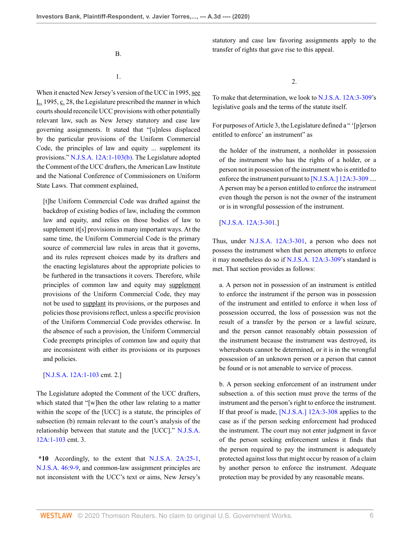statutory and case law favoring assignments apply to the transfer of rights that gave rise to this appeal.

B.

### 1.

When it enacted New Jersey's version of the UCC in 1995, see L. 1995, c. 28, the Legislature prescribed the manner in which courts should reconcile UCC provisions with other potentially relevant law, such as New Jersey statutory and case law governing assignments. It stated that "[u]nless displaced by the particular provisions of the Uniform Commercial Code, the principles of law and equity ... supplement its provisions." [N.J.S.A. 12A:1-103\(b\).](http://www.westlaw.com/Link/Document/FullText?findType=L&pubNum=1000045&cite=NJST12A%3a1-103&originatingDoc=I9d55ef20bbb911ea93a0cf5da1431849&refType=LQ&originationContext=document&vr=3.0&rs=cblt1.0&transitionType=DocumentItem&contextData=(sc.Keycite)) The Legislature adopted the Comment of the UCC drafters, the American Law Institute and the National Conference of Commissioners on Uniform State Laws. That comment explained,

[t]he Uniform Commercial Code was drafted against the backdrop of existing bodies of law, including the common law and equity, and relies on those bodies of law to supplement it[s] provisions in many important ways. At the same time, the Uniform Commercial Code is the primary source of commercial law rules in areas that it governs, and its rules represent choices made by its drafters and the enacting legislatures about the appropriate policies to be furthered in the transactions it covers. Therefore, while principles of common law and equity may supplement provisions of the Uniform Commercial Code, they may not be used to supplant its provisions, or the purposes and policies those provisions reflect, unless a specific provision of the Uniform Commercial Code provides otherwise. In the absence of such a provision, the Uniform Commercial Code preempts principles of common law and equity that are inconsistent with either its provisions or its purposes and policies.

[\[N.J.S.A. 12A:1-103](http://www.westlaw.com/Link/Document/FullText?findType=L&pubNum=1000045&cite=NJST12A%3a1-103&originatingDoc=I9d55ef20bbb911ea93a0cf5da1431849&refType=LQ&originationContext=document&vr=3.0&rs=cblt1.0&transitionType=DocumentItem&contextData=(sc.Keycite)) cmt. 2.]

The Legislature adopted the Comment of the UCC drafters, which stated that "[w]hen the other law relating to a matter within the scope of the [UCC] is a statute, the principles of subsection (b) remain relevant to the court's analysis of the relationship between that statute and the [UCC]." [N.J.S.A.](http://www.westlaw.com/Link/Document/FullText?findType=L&pubNum=1000045&cite=NJST12A%3a1-103&originatingDoc=I9d55ef20bbb911ea93a0cf5da1431849&refType=LQ&originationContext=document&vr=3.0&rs=cblt1.0&transitionType=DocumentItem&contextData=(sc.Keycite)) [12A:1-103](http://www.westlaw.com/Link/Document/FullText?findType=L&pubNum=1000045&cite=NJST12A%3a1-103&originatingDoc=I9d55ef20bbb911ea93a0cf5da1431849&refType=LQ&originationContext=document&vr=3.0&rs=cblt1.0&transitionType=DocumentItem&contextData=(sc.Keycite)) cmt. 3.

**\*10** Accordingly, to the extent that [N.J.S.A. 2A:25-1](http://www.westlaw.com/Link/Document/FullText?findType=L&pubNum=1000045&cite=NJST2A%3a25-1&originatingDoc=I9d55ef20bbb911ea93a0cf5da1431849&refType=LQ&originationContext=document&vr=3.0&rs=cblt1.0&transitionType=DocumentItem&contextData=(sc.Keycite)), [N.J.S.A. 46:9-9,](http://www.westlaw.com/Link/Document/FullText?findType=L&pubNum=1000045&cite=NJST46%3a9-9&originatingDoc=I9d55ef20bbb911ea93a0cf5da1431849&refType=LQ&originationContext=document&vr=3.0&rs=cblt1.0&transitionType=DocumentItem&contextData=(sc.Keycite)) and common-law assignment principles are not inconsistent with the UCC's text or aims, New Jersey's 2.

To make that determination, we look to [N.J.S.A. 12A:3-309](http://www.westlaw.com/Link/Document/FullText?findType=L&pubNum=1000045&cite=NJST12A%3a3-309&originatingDoc=I9d55ef20bbb911ea93a0cf5da1431849&refType=LQ&originationContext=document&vr=3.0&rs=cblt1.0&transitionType=DocumentItem&contextData=(sc.Keycite))'s legislative goals and the terms of the statute itself.

For purposes of Article 3, the Legislature defined a " '[p]erson entitled to enforce' an instrument" as

the holder of the instrument, a nonholder in possession of the instrument who has the rights of a holder, or a person not in possession of the instrument who is entitled to enforce the instrument pursuant to [\[N.J.S.A.\] 12A:3-309](http://www.westlaw.com/Link/Document/FullText?findType=L&pubNum=1000045&cite=NJST12A%3a3-309&originatingDoc=I9d55ef20bbb911ea93a0cf5da1431849&refType=LQ&originationContext=document&vr=3.0&rs=cblt1.0&transitionType=DocumentItem&contextData=(sc.Keycite)) .... A person may be a person entitled to enforce the instrument even though the person is not the owner of the instrument or is in wrongful possession of the instrument.

#### [\[N.J.S.A. 12A:3-301](http://www.westlaw.com/Link/Document/FullText?findType=L&pubNum=1000045&cite=NJST12A%3a3-301&originatingDoc=I9d55ef20bbb911ea93a0cf5da1431849&refType=LQ&originationContext=document&vr=3.0&rs=cblt1.0&transitionType=DocumentItem&contextData=(sc.Keycite)).]

Thus, under [N.J.S.A. 12A:3-301,](http://www.westlaw.com/Link/Document/FullText?findType=L&pubNum=1000045&cite=NJST12A%3a3-301&originatingDoc=I9d55ef20bbb911ea93a0cf5da1431849&refType=LQ&originationContext=document&vr=3.0&rs=cblt1.0&transitionType=DocumentItem&contextData=(sc.Keycite)) a person who does not possess the instrument when that person attempts to enforce it may nonetheless do so if [N.J.S.A. 12A:3-309](http://www.westlaw.com/Link/Document/FullText?findType=L&pubNum=1000045&cite=NJST12A%3a3-309&originatingDoc=I9d55ef20bbb911ea93a0cf5da1431849&refType=LQ&originationContext=document&vr=3.0&rs=cblt1.0&transitionType=DocumentItem&contextData=(sc.Keycite))'s standard is met. That section provides as follows:

a. A person not in possession of an instrument is entitled to enforce the instrument if the person was in possession of the instrument and entitled to enforce it when loss of possession occurred, the loss of possession was not the result of a transfer by the person or a lawful seizure, and the person cannot reasonably obtain possession of the instrument because the instrument was destroyed, its whereabouts cannot be determined, or it is in the wrongful possession of an unknown person or a person that cannot be found or is not amenable to service of process.

b. A person seeking enforcement of an instrument under subsection a. of this section must prove the terms of the instrument and the person's right to enforce the instrument. If that proof is made, [\[N.J.S.A.\] 12A:3-308](http://www.westlaw.com/Link/Document/FullText?findType=L&pubNum=1000045&cite=NJST12A%3a3-308&originatingDoc=I9d55ef20bbb911ea93a0cf5da1431849&refType=LQ&originationContext=document&vr=3.0&rs=cblt1.0&transitionType=DocumentItem&contextData=(sc.Keycite)) applies to the case as if the person seeking enforcement had produced the instrument. The court may not enter judgment in favor of the person seeking enforcement unless it finds that the person required to pay the instrument is adequately protected against loss that might occur by reason of a claim by another person to enforce the instrument. Adequate protection may be provided by any reasonable means.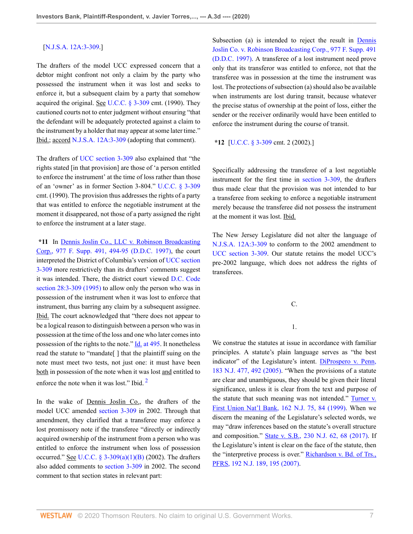#### [\[N.J.S.A. 12A:3-309](http://www.westlaw.com/Link/Document/FullText?findType=L&pubNum=1000045&cite=NJST12A%3a3-309&originatingDoc=I9d55ef20bbb911ea93a0cf5da1431849&refType=LQ&originationContext=document&vr=3.0&rs=cblt1.0&transitionType=DocumentItem&contextData=(sc.Keycite)).]

The drafters of the model UCC expressed concern that a debtor might confront not only a claim by the party who possessed the instrument when it was lost and seeks to enforce it, but a subsequent claim by a party that somehow acquired the original. See [U.C.C. § 3-309](http://www.westlaw.com/Link/Document/FullText?findType=L&pubNum=1002112&cite=ULUCCS3-309&originatingDoc=I9d55ef20bbb911ea93a0cf5da1431849&refType=LQ&originationContext=document&vr=3.0&rs=cblt1.0&transitionType=DocumentItem&contextData=(sc.Keycite)) cmt. (1990). They cautioned courts not to enter judgment without ensuring "that the defendant will be adequately protected against a claim to the instrument by a holder that may appear at some later time." Ibid.; accord [N.J.S.A. 12A:3-309](http://www.westlaw.com/Link/Document/FullText?findType=L&pubNum=1000045&cite=NJST12A%3a3-309&originatingDoc=I9d55ef20bbb911ea93a0cf5da1431849&refType=LQ&originationContext=document&vr=3.0&rs=cblt1.0&transitionType=DocumentItem&contextData=(sc.Keycite)) (adopting that comment).

The drafters of [UCC section 3-309](http://www.westlaw.com/Link/Document/FullText?findType=L&pubNum=1002112&cite=ULUCCS3-309&originatingDoc=I9d55ef20bbb911ea93a0cf5da1431849&refType=LQ&originationContext=document&vr=3.0&rs=cblt1.0&transitionType=DocumentItem&contextData=(sc.Keycite)) also explained that "the rights stated [in that provision] are those of 'a person entitled to enforce the instrument' at the time of loss rather than those of an 'owner' as in former Section 3-804." [U.C.C. § 3-309](http://www.westlaw.com/Link/Document/FullText?findType=L&pubNum=1002112&cite=ULUCCS3-309&originatingDoc=I9d55ef20bbb911ea93a0cf5da1431849&refType=LQ&originationContext=document&vr=3.0&rs=cblt1.0&transitionType=DocumentItem&contextData=(sc.Keycite)) cmt. (1990). The provision thus addresses the rights of a party that was entitled to enforce the negotiable instrument at the moment it disappeared, not those of a party assigned the right to enforce the instrument at a later stage.

**\*11** In [Dennis Joslin Co., LLC v. Robinson Broadcasting](http://www.westlaw.com/Link/Document/FullText?findType=Y&serNum=1997197396&pubNum=0000345&originatingDoc=I9d55ef20bbb911ea93a0cf5da1431849&refType=RP&fi=co_pp_sp_345_494&originationContext=document&vr=3.0&rs=cblt1.0&transitionType=DocumentItem&contextData=(sc.Keycite)#co_pp_sp_345_494) [Corp., 977 F. Supp. 491, 494-95 \(D.D.C. 1997\),](http://www.westlaw.com/Link/Document/FullText?findType=Y&serNum=1997197396&pubNum=0000345&originatingDoc=I9d55ef20bbb911ea93a0cf5da1431849&refType=RP&fi=co_pp_sp_345_494&originationContext=document&vr=3.0&rs=cblt1.0&transitionType=DocumentItem&contextData=(sc.Keycite)#co_pp_sp_345_494) the court interpreted the District of Columbia's version of [UCC section](http://www.westlaw.com/Link/Document/FullText?findType=L&pubNum=1002112&cite=ULUCCS3-309&originatingDoc=I9d55ef20bbb911ea93a0cf5da1431849&refType=LQ&originationContext=document&vr=3.0&rs=cblt1.0&transitionType=DocumentItem&contextData=(sc.Keycite)) [3-309](http://www.westlaw.com/Link/Document/FullText?findType=L&pubNum=1002112&cite=ULUCCS3-309&originatingDoc=I9d55ef20bbb911ea93a0cf5da1431849&refType=LQ&originationContext=document&vr=3.0&rs=cblt1.0&transitionType=DocumentItem&contextData=(sc.Keycite)) more restrictively than its drafters' comments suggest it was intended. There, the district court viewed [D.C. Code](http://www.westlaw.com/Link/Document/FullText?findType=L&pubNum=1000869&cite=DCCODES28%3a3-309&originatingDoc=I9d55ef20bbb911ea93a0cf5da1431849&refType=LQ&originationContext=document&vr=3.0&rs=cblt1.0&transitionType=DocumentItem&contextData=(sc.Keycite)) [section 28:3-309 \(1995\)](http://www.westlaw.com/Link/Document/FullText?findType=L&pubNum=1000869&cite=DCCODES28%3a3-309&originatingDoc=I9d55ef20bbb911ea93a0cf5da1431849&refType=LQ&originationContext=document&vr=3.0&rs=cblt1.0&transitionType=DocumentItem&contextData=(sc.Keycite)) to allow only the person who was in possession of the instrument when it was lost to enforce that instrument, thus barring any claim by a subsequent assignee. Ibid. The court acknowledged that "there does not appear to be a logical reason to distinguish between a person who was in possession at the time of the loss and one who later comes into possession of the rights to the note."  $\underline{Id}$  at 495. It nonetheless read the statute to "mandate[ ] that the plaintiff suing on the note must meet two tests, not just one: it must have been both in possession of the note when it was lost and entitled to enforce the note when it was lost." Ibid.<sup>[2](#page-9-1)</sup>

In the wake of Dennis Joslin Co., the drafters of the model UCC amended [section 3-309](http://www.westlaw.com/Link/Document/FullText?findType=L&pubNum=1002112&cite=ULUCCS3-309&originatingDoc=I9d55ef20bbb911ea93a0cf5da1431849&refType=LQ&originationContext=document&vr=3.0&rs=cblt1.0&transitionType=DocumentItem&contextData=(sc.Keycite)) in 2002. Through that amendment, they clarified that a transferee may enforce a lost promissory note if the transferee "directly or indirectly acquired ownership of the instrument from a person who was entitled to enforce the instrument when loss of possession occurred." See U.C.C.  $\S$  3-309(a)(1)(B) (2002). The drafters also added comments to [section 3-309](http://www.westlaw.com/Link/Document/FullText?findType=L&pubNum=1002112&cite=ULUCCS3-309&originatingDoc=I9d55ef20bbb911ea93a0cf5da1431849&refType=LQ&originationContext=document&vr=3.0&rs=cblt1.0&transitionType=DocumentItem&contextData=(sc.Keycite)) in 2002. The second comment to that section states in relevant part:

Subsection (a) is intended to reject the result in [Dennis](http://www.westlaw.com/Link/Document/FullText?findType=Y&serNum=1997197396&pubNum=0000345&originatingDoc=I9d55ef20bbb911ea93a0cf5da1431849&refType=RP&originationContext=document&vr=3.0&rs=cblt1.0&transitionType=DocumentItem&contextData=(sc.Keycite)) [Joslin Co. v. Robinson Broadcasting Corp., 977 F. Supp. 491](http://www.westlaw.com/Link/Document/FullText?findType=Y&serNum=1997197396&pubNum=0000345&originatingDoc=I9d55ef20bbb911ea93a0cf5da1431849&refType=RP&originationContext=document&vr=3.0&rs=cblt1.0&transitionType=DocumentItem&contextData=(sc.Keycite)) [\(D.D.C. 1997\)](http://www.westlaw.com/Link/Document/FullText?findType=Y&serNum=1997197396&pubNum=0000345&originatingDoc=I9d55ef20bbb911ea93a0cf5da1431849&refType=RP&originationContext=document&vr=3.0&rs=cblt1.0&transitionType=DocumentItem&contextData=(sc.Keycite)). A transferee of a lost instrument need prove only that its transferor was entitled to enforce, not that the transferee was in possession at the time the instrument was lost. The protections of subsection (a) should also be available when instruments are lost during transit, because whatever the precise status of ownership at the point of loss, either the sender or the receiver ordinarily would have been entitled to enforce the instrument during the course of transit.

**\*12** [[U.C.C. § 3-309](http://www.westlaw.com/Link/Document/FullText?findType=L&pubNum=1002112&cite=ULUCCS3-309&originatingDoc=I9d55ef20bbb911ea93a0cf5da1431849&refType=LQ&originationContext=document&vr=3.0&rs=cblt1.0&transitionType=DocumentItem&contextData=(sc.Keycite)) cmt. 2 (2002).]

Specifically addressing the transferee of a lost negotiable instrument for the first time in [section 3-309](http://www.westlaw.com/Link/Document/FullText?findType=L&pubNum=1002112&cite=ULUCCS3-309&originatingDoc=I9d55ef20bbb911ea93a0cf5da1431849&refType=LQ&originationContext=document&vr=3.0&rs=cblt1.0&transitionType=DocumentItem&contextData=(sc.Keycite)), the drafters thus made clear that the provision was not intended to bar a transferee from seeking to enforce a negotiable instrument merely because the transferee did not possess the instrument at the moment it was lost. Ibid.

The New Jersey Legislature did not alter the language of [N.J.S.A. 12A:3-309](http://www.westlaw.com/Link/Document/FullText?findType=L&pubNum=1000045&cite=NJST12A%3a3-309&originatingDoc=I9d55ef20bbb911ea93a0cf5da1431849&refType=LQ&originationContext=document&vr=3.0&rs=cblt1.0&transitionType=DocumentItem&contextData=(sc.Keycite)) to conform to the 2002 amendment to [UCC section 3-309](http://www.westlaw.com/Link/Document/FullText?findType=L&pubNum=1002112&cite=ULUCCS3-309&originatingDoc=I9d55ef20bbb911ea93a0cf5da1431849&refType=LQ&originationContext=document&vr=3.0&rs=cblt1.0&transitionType=DocumentItem&contextData=(sc.Keycite)). Our statute retains the model UCC's pre-2002 language, which does not address the rights of transferees.

# C.

# 1.

<span id="page-6-0"></span>We construe the statutes at issue in accordance with familiar principles. A statute's plain language serves as "the best indicator" of the Legislature's intent. [DiProspero v. Penn,](http://www.westlaw.com/Link/Document/FullText?findType=Y&serNum=2006793787&pubNum=0000583&originatingDoc=I9d55ef20bbb911ea93a0cf5da1431849&refType=RP&fi=co_pp_sp_583_492&originationContext=document&vr=3.0&rs=cblt1.0&transitionType=DocumentItem&contextData=(sc.Keycite)#co_pp_sp_583_492) [183 N.J. 477, 492 \(2005\).](http://www.westlaw.com/Link/Document/FullText?findType=Y&serNum=2006793787&pubNum=0000583&originatingDoc=I9d55ef20bbb911ea93a0cf5da1431849&refType=RP&fi=co_pp_sp_583_492&originationContext=document&vr=3.0&rs=cblt1.0&transitionType=DocumentItem&contextData=(sc.Keycite)#co_pp_sp_583_492) "When the provisions of a statute are clear and unambiguous, they should be given their literal significance, unless it is clear from the text and purpose of the statute that such meaning was not intended." [Turner v.](http://www.westlaw.com/Link/Document/FullText?findType=Y&serNum=1999269674&pubNum=0000583&originatingDoc=I9d55ef20bbb911ea93a0cf5da1431849&refType=RP&fi=co_pp_sp_583_84&originationContext=document&vr=3.0&rs=cblt1.0&transitionType=DocumentItem&contextData=(sc.Keycite)#co_pp_sp_583_84) [First Union Nat'l Bank, 162 N.J. 75, 84 \(1999\).](http://www.westlaw.com/Link/Document/FullText?findType=Y&serNum=1999269674&pubNum=0000583&originatingDoc=I9d55ef20bbb911ea93a0cf5da1431849&refType=RP&fi=co_pp_sp_583_84&originationContext=document&vr=3.0&rs=cblt1.0&transitionType=DocumentItem&contextData=(sc.Keycite)#co_pp_sp_583_84) When we discern the meaning of the Legislature's selected words, we may "draw inferences based on the statute's overall structure and composition." [State v. S.B., 230 N.J. 62, 68 \(2017\)](http://www.westlaw.com/Link/Document/FullText?findType=Y&serNum=2042232494&pubNum=0000583&originatingDoc=I9d55ef20bbb911ea93a0cf5da1431849&refType=RP&fi=co_pp_sp_583_68&originationContext=document&vr=3.0&rs=cblt1.0&transitionType=DocumentItem&contextData=(sc.Keycite)#co_pp_sp_583_68). If the Legislature's intent is clear on the face of the statute, then the "interpretive process is over." [Richardson v. Bd. of Trs.,](http://www.westlaw.com/Link/Document/FullText?findType=Y&serNum=2012760407&pubNum=0000583&originatingDoc=I9d55ef20bbb911ea93a0cf5da1431849&refType=RP&fi=co_pp_sp_583_195&originationContext=document&vr=3.0&rs=cblt1.0&transitionType=DocumentItem&contextData=(sc.Keycite)#co_pp_sp_583_195) [PFRS, 192 N.J. 189, 195 \(2007\).](http://www.westlaw.com/Link/Document/FullText?findType=Y&serNum=2012760407&pubNum=0000583&originatingDoc=I9d55ef20bbb911ea93a0cf5da1431849&refType=RP&fi=co_pp_sp_583_195&originationContext=document&vr=3.0&rs=cblt1.0&transitionType=DocumentItem&contextData=(sc.Keycite)#co_pp_sp_583_195)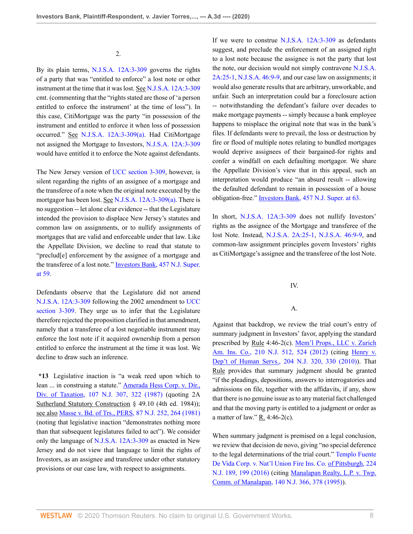#### 2.

By its plain terms, [N.J.S.A. 12A:3-309](http://www.westlaw.com/Link/Document/FullText?findType=L&pubNum=1000045&cite=NJST12A%3a3-309&originatingDoc=I9d55ef20bbb911ea93a0cf5da1431849&refType=LQ&originationContext=document&vr=3.0&rs=cblt1.0&transitionType=DocumentItem&contextData=(sc.Keycite)) governs the rights of a party that was "entitled to enforce" a lost note or other instrument at the time that it was lost. See [N.J.S.A. 12A:3-309](http://www.westlaw.com/Link/Document/FullText?findType=L&pubNum=1000045&cite=NJST12A%3a3-309&originatingDoc=I9d55ef20bbb911ea93a0cf5da1431849&refType=LQ&originationContext=document&vr=3.0&rs=cblt1.0&transitionType=DocumentItem&contextData=(sc.Keycite)) cmt. (commenting that the "rights stated are those of 'a person entitled to enforce the instrument' at the time of loss"). In this case, CitiMortgage was the party "in possession of the instrument and entitled to enforce it when loss of possession occurred." See [N.J.S.A. 12A:3-309\(a\).](http://www.westlaw.com/Link/Document/FullText?findType=L&pubNum=1000045&cite=NJST12A%3a3-309&originatingDoc=I9d55ef20bbb911ea93a0cf5da1431849&refType=LQ&originationContext=document&vr=3.0&rs=cblt1.0&transitionType=DocumentItem&contextData=(sc.Keycite)) Had CitiMortgage not assigned the Mortgage to Investors, [N.J.S.A. 12A:3-309](http://www.westlaw.com/Link/Document/FullText?findType=L&pubNum=1000045&cite=NJST12A%3a3-309&originatingDoc=I9d55ef20bbb911ea93a0cf5da1431849&refType=LQ&originationContext=document&vr=3.0&rs=cblt1.0&transitionType=DocumentItem&contextData=(sc.Keycite)) would have entitled it to enforce the Note against defendants.

The New Jersey version of [UCC section 3-309](http://www.westlaw.com/Link/Document/FullText?findType=L&pubNum=1002112&cite=ULUCCS3-309&originatingDoc=I9d55ef20bbb911ea93a0cf5da1431849&refType=LQ&originationContext=document&vr=3.0&rs=cblt1.0&transitionType=DocumentItem&contextData=(sc.Keycite)), however, is silent regarding the rights of an assignee of a mortgage and the transferee of a note when the original note executed by the mortgagor has been lost. See [N.J.S.A. 12A:3-309\(a\)](http://www.westlaw.com/Link/Document/FullText?findType=L&pubNum=1000045&cite=NJST12A%3a3-309&originatingDoc=I9d55ef20bbb911ea93a0cf5da1431849&refType=LQ&originationContext=document&vr=3.0&rs=cblt1.0&transitionType=DocumentItem&contextData=(sc.Keycite)). There is no suggestion -- let alone clear evidence -- that the Legislature intended the provision to displace New Jersey's statutes and common law on assignments, or to nullify assignments of mortgages that are valid and enforceable under that law. Like the Appellate Division, we decline to read that statute to "preclud[e] enforcement by the assignee of a mortgage and the transferee of a lost note." [Investors Bank, 457 N.J. Super.](http://www.westlaw.com/Link/Document/FullText?findType=Y&serNum=2045994883&pubNum=0000590&originatingDoc=I9d55ef20bbb911ea93a0cf5da1431849&refType=RP&fi=co_pp_sp_590_59&originationContext=document&vr=3.0&rs=cblt1.0&transitionType=DocumentItem&contextData=(sc.Keycite)#co_pp_sp_590_59) [at 59.](http://www.westlaw.com/Link/Document/FullText?findType=Y&serNum=2045994883&pubNum=0000590&originatingDoc=I9d55ef20bbb911ea93a0cf5da1431849&refType=RP&fi=co_pp_sp_590_59&originationContext=document&vr=3.0&rs=cblt1.0&transitionType=DocumentItem&contextData=(sc.Keycite)#co_pp_sp_590_59)

Defendants observe that the Legislature did not amend [N.J.S.A. 12A:3-309](http://www.westlaw.com/Link/Document/FullText?findType=L&pubNum=1000045&cite=NJST12A%3a3-309&originatingDoc=I9d55ef20bbb911ea93a0cf5da1431849&refType=LQ&originationContext=document&vr=3.0&rs=cblt1.0&transitionType=DocumentItem&contextData=(sc.Keycite)) following the 2002 amendment to [UCC](http://www.westlaw.com/Link/Document/FullText?findType=L&pubNum=1002112&cite=ULUCCS3-309&originatingDoc=I9d55ef20bbb911ea93a0cf5da1431849&refType=LQ&originationContext=document&vr=3.0&rs=cblt1.0&transitionType=DocumentItem&contextData=(sc.Keycite)) [section 3-309](http://www.westlaw.com/Link/Document/FullText?findType=L&pubNum=1002112&cite=ULUCCS3-309&originatingDoc=I9d55ef20bbb911ea93a0cf5da1431849&refType=LQ&originationContext=document&vr=3.0&rs=cblt1.0&transitionType=DocumentItem&contextData=(sc.Keycite)). They urge us to infer that the Legislature therefore rejected the proposition clarified in that amendment, namely that a transferee of a lost negotiable instrument may enforce the lost note if it acquired ownership from a person entitled to enforce the instrument at the time it was lost. We decline to draw such an inference.

**\*13** Legislative inaction is "a weak reed upon which to lean ... in construing a statute." **Amerada Hess Corp. v. Dir.**, [Div. of Taxation, 107 N.J. 307, 322 \(1987\)](http://www.westlaw.com/Link/Document/FullText?findType=Y&serNum=1987078950&pubNum=0000583&originatingDoc=I9d55ef20bbb911ea93a0cf5da1431849&refType=RP&fi=co_pp_sp_583_322&originationContext=document&vr=3.0&rs=cblt1.0&transitionType=DocumentItem&contextData=(sc.Keycite)#co_pp_sp_583_322) (quoting 2A Sutherland Statutory Construction § 49.10 (4th ed. 1984)); see also [Masse v. Bd. of Trs., PERS, 87 N.J. 252, 264 \(1981\)](http://www.westlaw.com/Link/Document/FullText?findType=Y&serNum=1981133415&pubNum=0000583&originatingDoc=I9d55ef20bbb911ea93a0cf5da1431849&refType=RP&fi=co_pp_sp_583_264&originationContext=document&vr=3.0&rs=cblt1.0&transitionType=DocumentItem&contextData=(sc.Keycite)#co_pp_sp_583_264) (noting that legislative inaction "demonstrates nothing more than that subsequent legislatures failed to act"). We consider only the language of [N.J.S.A. 12A:3-309](http://www.westlaw.com/Link/Document/FullText?findType=L&pubNum=1000045&cite=NJST12A%3a3-309&originatingDoc=I9d55ef20bbb911ea93a0cf5da1431849&refType=LQ&originationContext=document&vr=3.0&rs=cblt1.0&transitionType=DocumentItem&contextData=(sc.Keycite)) as enacted in New Jersey and do not view that language to limit the rights of Investors, as an assignee and transferee under other statutory provisions or our case law, with respect to assignments.

If we were to construe [N.J.S.A. 12A:3-309](http://www.westlaw.com/Link/Document/FullText?findType=L&pubNum=1000045&cite=NJST12A%3a3-309&originatingDoc=I9d55ef20bbb911ea93a0cf5da1431849&refType=LQ&originationContext=document&vr=3.0&rs=cblt1.0&transitionType=DocumentItem&contextData=(sc.Keycite)) as defendants suggest, and preclude the enforcement of an assigned right to a lost note because the assignee is not the party that lost the note, our decision would not simply contravene [N.J.S.A.](http://www.westlaw.com/Link/Document/FullText?findType=L&pubNum=1000045&cite=NJST2A%3a25-1&originatingDoc=I9d55ef20bbb911ea93a0cf5da1431849&refType=LQ&originationContext=document&vr=3.0&rs=cblt1.0&transitionType=DocumentItem&contextData=(sc.Keycite)) [2A:25-1](http://www.westlaw.com/Link/Document/FullText?findType=L&pubNum=1000045&cite=NJST2A%3a25-1&originatingDoc=I9d55ef20bbb911ea93a0cf5da1431849&refType=LQ&originationContext=document&vr=3.0&rs=cblt1.0&transitionType=DocumentItem&contextData=(sc.Keycite)), [N.J.S.A. 46:9-9,](http://www.westlaw.com/Link/Document/FullText?findType=L&pubNum=1000045&cite=NJST46%3a9-9&originatingDoc=I9d55ef20bbb911ea93a0cf5da1431849&refType=LQ&originationContext=document&vr=3.0&rs=cblt1.0&transitionType=DocumentItem&contextData=(sc.Keycite)) and our case law on assignments; it would also generate results that are arbitrary, unworkable, and unfair. Such an interpretation could bar a foreclosure action -- notwithstanding the defendant's failure over decades to make mortgage payments -- simply because a bank employee happens to misplace the original note that was in the bank's files. If defendants were to prevail, the loss or destruction by fire or flood of multiple notes relating to bundled mortgages would deprive assignees of their bargained-for rights and confer a windfall on each defaulting mortgagor. We share the Appellate Division's view that in this appeal, such an interpretation would produce "an absurd result -- allowing the defaulted defendant to remain in possession of a house obligation-free." [Investors Bank, 457 N.J. Super. at 63.](http://www.westlaw.com/Link/Document/FullText?findType=Y&serNum=2045994883&pubNum=0000590&originatingDoc=I9d55ef20bbb911ea93a0cf5da1431849&refType=RP&fi=co_pp_sp_590_63&originationContext=document&vr=3.0&rs=cblt1.0&transitionType=DocumentItem&contextData=(sc.Keycite)#co_pp_sp_590_63)

In short, [N.J.S.A. 12A:3-309](http://www.westlaw.com/Link/Document/FullText?findType=L&pubNum=1000045&cite=NJST12A%3a3-309&originatingDoc=I9d55ef20bbb911ea93a0cf5da1431849&refType=LQ&originationContext=document&vr=3.0&rs=cblt1.0&transitionType=DocumentItem&contextData=(sc.Keycite)) does not nullify Investors' rights as the assignee of the Mortgage and transferee of the lost Note. Instead, [N.J.S.A. 2A:25-1](http://www.westlaw.com/Link/Document/FullText?findType=L&pubNum=1000045&cite=NJST2A%3a25-1&originatingDoc=I9d55ef20bbb911ea93a0cf5da1431849&refType=LQ&originationContext=document&vr=3.0&rs=cblt1.0&transitionType=DocumentItem&contextData=(sc.Keycite)), [N.J.S.A. 46:9-9,](http://www.westlaw.com/Link/Document/FullText?findType=L&pubNum=1000045&cite=NJST46%3a9-9&originatingDoc=I9d55ef20bbb911ea93a0cf5da1431849&refType=LQ&originationContext=document&vr=3.0&rs=cblt1.0&transitionType=DocumentItem&contextData=(sc.Keycite)) and common-law assignment principles govern Investors' rights as CitiMortgage's assignee and the transferee of the lost Note.

# IV.

# A.

Against that backdrop, we review the trial court's entry of summary judgment in Investors' favor, applying the standard prescribed by Rule 4:46-2(c). [Mem'l Props., LLC v. Zurich](http://www.westlaw.com/Link/Document/FullText?findType=Y&serNum=2027995891&pubNum=0000583&originatingDoc=I9d55ef20bbb911ea93a0cf5da1431849&refType=RP&fi=co_pp_sp_583_524&originationContext=document&vr=3.0&rs=cblt1.0&transitionType=DocumentItem&contextData=(sc.Keycite)#co_pp_sp_583_524) [Am. Ins. Co., 210 N.J. 512, 524 \(2012\)](http://www.westlaw.com/Link/Document/FullText?findType=Y&serNum=2027995891&pubNum=0000583&originatingDoc=I9d55ef20bbb911ea93a0cf5da1431849&refType=RP&fi=co_pp_sp_583_524&originationContext=document&vr=3.0&rs=cblt1.0&transitionType=DocumentItem&contextData=(sc.Keycite)#co_pp_sp_583_524) (citing [Henry v.](http://www.westlaw.com/Link/Document/FullText?findType=Y&serNum=2023991929&pubNum=0000583&originatingDoc=I9d55ef20bbb911ea93a0cf5da1431849&refType=RP&fi=co_pp_sp_583_330&originationContext=document&vr=3.0&rs=cblt1.0&transitionType=DocumentItem&contextData=(sc.Keycite)#co_pp_sp_583_330) [Dep't of Human Servs., 204 N.J. 320, 330 \(2010\)](http://www.westlaw.com/Link/Document/FullText?findType=Y&serNum=2023991929&pubNum=0000583&originatingDoc=I9d55ef20bbb911ea93a0cf5da1431849&refType=RP&fi=co_pp_sp_583_330&originationContext=document&vr=3.0&rs=cblt1.0&transitionType=DocumentItem&contextData=(sc.Keycite)#co_pp_sp_583_330)). That Rule provides that summary judgment should be granted "if the pleadings, depositions, answers to interrogatories and admissions on file, together with the affidavits, if any, show that there is no genuine issue as to any material fact challenged and that the moving party is entitled to a judgment or order as a matter of law."  $R_4$ . 4:46-2(c).

When summary judgment is premised on a legal conclusion, we review that decision de novo, giving "no special deference to the legal determinations of the trial court." [Templo Fuente](http://www.westlaw.com/Link/Document/FullText?findType=Y&serNum=2038262738&pubNum=0000583&originatingDoc=I9d55ef20bbb911ea93a0cf5da1431849&refType=RP&fi=co_pp_sp_583_199&originationContext=document&vr=3.0&rs=cblt1.0&transitionType=DocumentItem&contextData=(sc.Keycite)#co_pp_sp_583_199) [De Vida Corp. v. Nat'l Union Fire Ins. Co. of Pittsburgh, 224](http://www.westlaw.com/Link/Document/FullText?findType=Y&serNum=2038262738&pubNum=0000583&originatingDoc=I9d55ef20bbb911ea93a0cf5da1431849&refType=RP&fi=co_pp_sp_583_199&originationContext=document&vr=3.0&rs=cblt1.0&transitionType=DocumentItem&contextData=(sc.Keycite)#co_pp_sp_583_199) [N.J. 189, 199 \(2016\)](http://www.westlaw.com/Link/Document/FullText?findType=Y&serNum=2038262738&pubNum=0000583&originatingDoc=I9d55ef20bbb911ea93a0cf5da1431849&refType=RP&fi=co_pp_sp_583_199&originationContext=document&vr=3.0&rs=cblt1.0&transitionType=DocumentItem&contextData=(sc.Keycite)#co_pp_sp_583_199) (citing [Manalapan Realty, L.P. v. Twp.](http://www.westlaw.com/Link/Document/FullText?findType=Y&serNum=1995125522&pubNum=0000583&originatingDoc=I9d55ef20bbb911ea93a0cf5da1431849&refType=RP&fi=co_pp_sp_583_378&originationContext=document&vr=3.0&rs=cblt1.0&transitionType=DocumentItem&contextData=(sc.Keycite)#co_pp_sp_583_378) [Comm. of Manalapan, 140 N.J. 366, 378 \(1995\)\)](http://www.westlaw.com/Link/Document/FullText?findType=Y&serNum=1995125522&pubNum=0000583&originatingDoc=I9d55ef20bbb911ea93a0cf5da1431849&refType=RP&fi=co_pp_sp_583_378&originationContext=document&vr=3.0&rs=cblt1.0&transitionType=DocumentItem&contextData=(sc.Keycite)#co_pp_sp_583_378).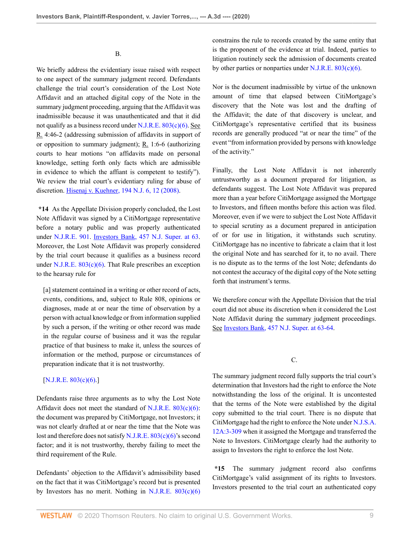B.

We briefly address the evidentiary issue raised with respect to one aspect of the summary judgment record. Defendants challenge the trial court's consideration of the Lost Note Affidavit and an attached digital copy of the Note in the summary judgment proceeding, arguing that the Affidavit was inadmissible because it was unauthenticated and that it did not qualify as a business record under  $N.J.R.E. 803(c)(6)$ . See R. 4:46-2 (addressing submission of affidavits in support of or opposition to summary judgment);  $R_1$  1:6-6 (authorizing courts to hear motions "on affidavits made on personal knowledge, setting forth only facts which are admissible in evidence to which the affiant is competent to testify"). We review the trial court's evidentiary ruling for abuse of discretion. [Hisenaj v. Kuehner, 194 N.J. 6, 12 \(2008\)](http://www.westlaw.com/Link/Document/FullText?findType=Y&serNum=2015412508&pubNum=0000583&originatingDoc=I9d55ef20bbb911ea93a0cf5da1431849&refType=RP&fi=co_pp_sp_583_12&originationContext=document&vr=3.0&rs=cblt1.0&transitionType=DocumentItem&contextData=(sc.Keycite)#co_pp_sp_583_12).

**\*14** As the Appellate Division properly concluded, the Lost Note Affidavit was signed by a CitiMortgage representative before a notary public and was properly authenticated under [N.J.R.E. 901.](http://www.westlaw.com/Link/Document/FullText?findType=L&pubNum=1003066&cite=NJSTREVNJRE901&originatingDoc=I9d55ef20bbb911ea93a0cf5da1431849&refType=LQ&originationContext=document&vr=3.0&rs=cblt1.0&transitionType=DocumentItem&contextData=(sc.Keycite)) [Investors Bank, 457 N.J. Super. at 63](http://www.westlaw.com/Link/Document/FullText?findType=Y&serNum=2045994883&pubNum=0000590&originatingDoc=I9d55ef20bbb911ea93a0cf5da1431849&refType=RP&fi=co_pp_sp_590_63&originationContext=document&vr=3.0&rs=cblt1.0&transitionType=DocumentItem&contextData=(sc.Keycite)#co_pp_sp_590_63). Moreover, the Lost Note Affidavit was properly considered by the trial court because it qualifies as a business record under N.J.R.E.  $803(c)(6)$ . That Rule prescribes an exception to the hearsay rule for

[a] statement contained in a writing or other record of acts, events, conditions, and, subject to Rule 808, opinions or diagnoses, made at or near the time of observation by a person with actual knowledge or from information supplied by such a person, if the writing or other record was made in the regular course of business and it was the regular practice of that business to make it, unless the sources of information or the method, purpose or circumstances of preparation indicate that it is not trustworthy.

### [\[N.J.R.E. 803\(c\)\(6\)](http://www.westlaw.com/Link/Document/FullText?findType=L&pubNum=1003066&cite=NJSTREVNJRE803&originatingDoc=I9d55ef20bbb911ea93a0cf5da1431849&refType=SP&originationContext=document&vr=3.0&rs=cblt1.0&transitionType=DocumentItem&contextData=(sc.Keycite)#co_pp_7c0e00007efa7).]

Defendants raise three arguments as to why the Lost Note Affidavit does not meet the standard of [N.J.R.E. 803\(c\)\(6\)](http://www.westlaw.com/Link/Document/FullText?findType=L&pubNum=1003066&cite=NJSTREVNJRE803&originatingDoc=I9d55ef20bbb911ea93a0cf5da1431849&refType=SP&originationContext=document&vr=3.0&rs=cblt1.0&transitionType=DocumentItem&contextData=(sc.Keycite)#co_pp_7c0e00007efa7): the document was prepared by CitiMortgage, not Investors; it was not clearly drafted at or near the time that the Note was lost and therefore does not satisfy [N.J.R.E. 803\(c\)\(6\)'](http://www.westlaw.com/Link/Document/FullText?findType=L&pubNum=1003066&cite=NJSTREVNJRE803&originatingDoc=I9d55ef20bbb911ea93a0cf5da1431849&refType=SP&originationContext=document&vr=3.0&rs=cblt1.0&transitionType=DocumentItem&contextData=(sc.Keycite)#co_pp_7c0e00007efa7)s second factor; and it is not trustworthy, thereby failing to meet the third requirement of the Rule.

Defendants' objection to the Affidavit's admissibility based on the fact that it was CitiMortgage's record but is presented by Investors has no merit. Nothing in N.J.R.E.  $803(c)(6)$  constrains the rule to records created by the same entity that is the proponent of the evidence at trial. Indeed, parties to litigation routinely seek the admission of documents created by other parties or nonparties under N.J.R.E.  $803(c)(6)$ .

Nor is the document inadmissible by virtue of the unknown amount of time that elapsed between CitiMortgage's discovery that the Note was lost and the drafting of the Affidavit; the date of that discovery is unclear, and CitiMortgage's representative certified that its business records are generally produced "at or near the time" of the event "from information provided by persons with knowledge of the activity."

Finally, the Lost Note Affidavit is not inherently untrustworthy as a document prepared for litigation, as defendants suggest. The Lost Note Affidavit was prepared more than a year before CitiMortgage assigned the Mortgage to Investors, and fifteen months before this action was filed. Moreover, even if we were to subject the Lost Note Affidavit to special scrutiny as a document prepared in anticipation of or for use in litigation, it withstands such scrutiny. CitiMortgage has no incentive to fabricate a claim that it lost the original Note and has searched for it, to no avail. There is no dispute as to the terms of the lost Note; defendants do not contest the accuracy of the digital copy of the Note setting forth that instrument's terms.

We therefore concur with the Appellate Division that the trial court did not abuse its discretion when it considered the Lost Note Affidavit during the summary judgment proceedings. See [Investors Bank, 457 N.J. Super. at 63-64](http://www.westlaw.com/Link/Document/FullText?findType=Y&serNum=2045994883&pubNum=0000590&originatingDoc=I9d55ef20bbb911ea93a0cf5da1431849&refType=RP&fi=co_pp_sp_590_63&originationContext=document&vr=3.0&rs=cblt1.0&transitionType=DocumentItem&contextData=(sc.Keycite)#co_pp_sp_590_63).

C.

The summary judgment record fully supports the trial court's determination that Investors had the right to enforce the Note notwithstanding the loss of the original. It is uncontested that the terms of the Note were established by the digital copy submitted to the trial court. There is no dispute that CitiMortgage had the right to enforce the Note under [N.J.S.A.](http://www.westlaw.com/Link/Document/FullText?findType=L&pubNum=1000045&cite=NJST12A%3a3-309&originatingDoc=I9d55ef20bbb911ea93a0cf5da1431849&refType=LQ&originationContext=document&vr=3.0&rs=cblt1.0&transitionType=DocumentItem&contextData=(sc.Keycite)) [12A:3-309](http://www.westlaw.com/Link/Document/FullText?findType=L&pubNum=1000045&cite=NJST12A%3a3-309&originatingDoc=I9d55ef20bbb911ea93a0cf5da1431849&refType=LQ&originationContext=document&vr=3.0&rs=cblt1.0&transitionType=DocumentItem&contextData=(sc.Keycite)) when it assigned the Mortgage and transferred the Note to Investors. CitiMortgage clearly had the authority to assign to Investors the right to enforce the lost Note.

**\*15** The summary judgment record also confirms CitiMortgage's valid assignment of its rights to Investors. Investors presented to the trial court an authenticated copy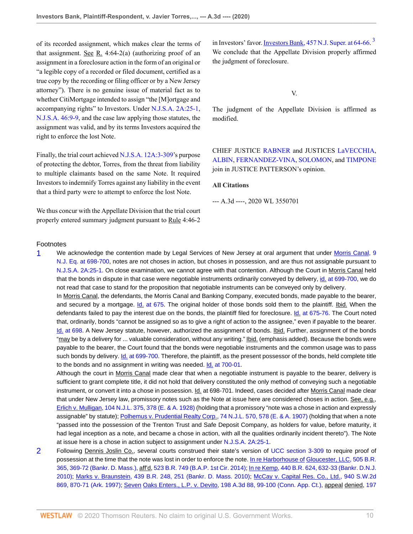of its recorded assignment, which makes clear the terms of that assignment. See R. 4:64-2(a) (authorizing proof of an assignment in a foreclosure action in the form of an original or "a legible copy of a recorded or filed document, certified as a true copy by the recording or filing officer or by a New Jersey attorney"). There is no genuine issue of material fact as to whether CitiMortgage intended to assign "the [M]ortgage and accompanying rights" to Investors. Under [N.J.S.A. 2A:25-1](http://www.westlaw.com/Link/Document/FullText?findType=L&pubNum=1000045&cite=NJST2A%3a25-1&originatingDoc=I9d55ef20bbb911ea93a0cf5da1431849&refType=LQ&originationContext=document&vr=3.0&rs=cblt1.0&transitionType=DocumentItem&contextData=(sc.Keycite)), [N.J.S.A. 46:9-9](http://www.westlaw.com/Link/Document/FullText?findType=L&pubNum=1000045&cite=NJST46%3a9-9&originatingDoc=I9d55ef20bbb911ea93a0cf5da1431849&refType=LQ&originationContext=document&vr=3.0&rs=cblt1.0&transitionType=DocumentItem&contextData=(sc.Keycite)), and the case law applying those statutes, the assignment was valid, and by its terms Investors acquired the right to enforce the lost Note.

Finally, the trial court achieved [N.J.S.A. 12A:3-309'](http://www.westlaw.com/Link/Document/FullText?findType=L&pubNum=1000045&cite=NJST12A%3a3-309&originatingDoc=I9d55ef20bbb911ea93a0cf5da1431849&refType=LQ&originationContext=document&vr=3.0&rs=cblt1.0&transitionType=DocumentItem&contextData=(sc.Keycite))s purpose of protecting the debtor, Torres, from the threat from liability to multiple claimants based on the same Note. It required Investors to indemnify Torres against any liability in the event that a third party were to attempt to enforce the lost Note.

We thus concur with the Appellate Division that the trial court properly entered summary judgment pursuant to Rule 4:46-2

in Investors' favor. **Investors Bank**, 457 N.J. Super. at 64-66.<sup>[3](#page-10-0)</sup> We conclude that the Appellate Division properly affirmed the judgment of foreclosure.

<span id="page-9-2"></span>V.

The judgment of the Appellate Division is affirmed as modified.

CHIEF JUSTICE [RABNER](http://www.westlaw.com/Link/Document/FullText?findType=h&pubNum=176284&cite=0215999201&originatingDoc=I9d55ef20bbb911ea93a0cf5da1431849&refType=RQ&originationContext=document&vr=3.0&rs=cblt1.0&transitionType=DocumentItem&contextData=(sc.Keycite)) and JUSTICES [LaVECCHIA,](http://www.westlaw.com/Link/Document/FullText?findType=h&pubNum=176284&cite=0224986601&originatingDoc=I9d55ef20bbb911ea93a0cf5da1431849&refType=RQ&originationContext=document&vr=3.0&rs=cblt1.0&transitionType=DocumentItem&contextData=(sc.Keycite)) [ALBIN,](http://www.westlaw.com/Link/Document/FullText?findType=h&pubNum=176284&cite=0140360301&originatingDoc=I9d55ef20bbb911ea93a0cf5da1431849&refType=RQ&originationContext=document&vr=3.0&rs=cblt1.0&transitionType=DocumentItem&contextData=(sc.Keycite)) [FERNANDEZ-VINA,](http://www.westlaw.com/Link/Document/FullText?findType=h&pubNum=176284&cite=0113818101&originatingDoc=I9d55ef20bbb911ea93a0cf5da1431849&refType=RQ&originationContext=document&vr=3.0&rs=cblt1.0&transitionType=DocumentItem&contextData=(sc.Keycite)) [SOLOMON](http://www.westlaw.com/Link/Document/FullText?findType=h&pubNum=176284&cite=0287096401&originatingDoc=I9d55ef20bbb911ea93a0cf5da1431849&refType=RQ&originationContext=document&vr=3.0&rs=cblt1.0&transitionType=DocumentItem&contextData=(sc.Keycite)), and [TIMPONE](http://www.westlaw.com/Link/Document/FullText?findType=h&pubNum=176284&cite=0330409599&originatingDoc=I9d55ef20bbb911ea93a0cf5da1431849&refType=RQ&originationContext=document&vr=3.0&rs=cblt1.0&transitionType=DocumentItem&contextData=(sc.Keycite)) join in JUSTICE PATTERSON's opinion.

#### **All Citations**

--- A.3d ----, 2020 WL 3550701

### Footnotes

<span id="page-9-0"></span>[1](#page-4-0) We acknowledge the contention made by Legal Services of New Jersey at oral argument that under [Morris Canal, 9](http://www.westlaw.com/Link/Document/FullText?findType=Y&serNum=1855008184&pubNum=0000585&originatingDoc=I9d55ef20bbb911ea93a0cf5da1431849&refType=RP&fi=co_pp_sp_585_698&originationContext=document&vr=3.0&rs=cblt1.0&transitionType=DocumentItem&contextData=(sc.Keycite)#co_pp_sp_585_698) [N.J. Eq. at 698-700](http://www.westlaw.com/Link/Document/FullText?findType=Y&serNum=1855008184&pubNum=0000585&originatingDoc=I9d55ef20bbb911ea93a0cf5da1431849&refType=RP&fi=co_pp_sp_585_698&originationContext=document&vr=3.0&rs=cblt1.0&transitionType=DocumentItem&contextData=(sc.Keycite)#co_pp_sp_585_698), notes are not choses in action, but choses in possession, and are thus not assignable pursuant to [N.J.S.A. 2A:25-1](http://www.westlaw.com/Link/Document/FullText?findType=L&pubNum=1000045&cite=NJST2A%3a25-1&originatingDoc=I9d55ef20bbb911ea93a0cf5da1431849&refType=LQ&originationContext=document&vr=3.0&rs=cblt1.0&transitionType=DocumentItem&contextData=(sc.Keycite)). On close examination, we cannot agree with that contention. Although the Court in Morris Canal held that the bonds in dispute in that case were negotiable instruments ordinarily conveyed by delivery, [id. at 699-700](http://www.westlaw.com/Link/Document/FullText?findType=Y&serNum=1855008184&pubNum=0000585&originatingDoc=I9d55ef20bbb911ea93a0cf5da1431849&refType=RP&fi=co_pp_sp_585_699&originationContext=document&vr=3.0&rs=cblt1.0&transitionType=DocumentItem&contextData=(sc.Keycite)#co_pp_sp_585_699), we do not read that case to stand for the proposition that negotiable instruments can be conveyed only by delivery. In Morris Canal, the defendants, the Morris Canal and Banking Company, executed bonds, made payable to the bearer, and secured by a mortgage. [Id. at 675.](http://www.westlaw.com/Link/Document/FullText?findType=Y&serNum=1855008184&pubNum=0000585&originatingDoc=I9d55ef20bbb911ea93a0cf5da1431849&refType=RP&fi=co_pp_sp_585_675&originationContext=document&vr=3.0&rs=cblt1.0&transitionType=DocumentItem&contextData=(sc.Keycite)#co_pp_sp_585_675) The original holder of those bonds sold them to the plaintiff. Ibid. When the defendants failed to pay the interest due on the bonds, the plaintiff filed for foreclosure. [Id. at 675-76](http://www.westlaw.com/Link/Document/FullText?findType=Y&serNum=1855008184&pubNum=0000585&originatingDoc=I9d55ef20bbb911ea93a0cf5da1431849&refType=RP&fi=co_pp_sp_585_675&originationContext=document&vr=3.0&rs=cblt1.0&transitionType=DocumentItem&contextData=(sc.Keycite)#co_pp_sp_585_675). The Court noted that, ordinarily, bonds "cannot be assigned so as to give a right of action to the assignee," even if payable to the bearer.

[Id. at 698.](http://www.westlaw.com/Link/Document/FullText?findType=Y&serNum=1855008184&pubNum=0000585&originatingDoc=I9d55ef20bbb911ea93a0cf5da1431849&refType=RP&fi=co_pp_sp_585_698&originationContext=document&vr=3.0&rs=cblt1.0&transitionType=DocumentItem&contextData=(sc.Keycite)#co_pp_sp_585_698) A New Jersey statute, however, authorized the assignment of bonds. Ibid. Further, assignment of the bonds "may be by a delivery for ... valuable consideration, without any writing." Ibid. (emphasis added). Because the bonds were payable to the bearer, the Court found that the bonds were negotiable instruments and the common usage was to pass such bonds by delivery. [Id. at 699-700](http://www.westlaw.com/Link/Document/FullText?findType=Y&serNum=1855008184&pubNum=0000585&originatingDoc=I9d55ef20bbb911ea93a0cf5da1431849&refType=RP&fi=co_pp_sp_585_699&originationContext=document&vr=3.0&rs=cblt1.0&transitionType=DocumentItem&contextData=(sc.Keycite)#co_pp_sp_585_699). Therefore, the plaintiff, as the present possessor of the bonds, held complete title to the bonds and no assignment in writing was needed. **Id.** at 700-01.

Although the court in Morris Canal made clear that when a negotiable instrument is payable to the bearer, delivery is sufficient to grant complete title, it did not hold that delivery constituted the only method of conveying such a negotiable instrument, or convert it into a chose in possession. Id. at 698-701. Indeed, cases decided after Morris Canal made clear that under New Jersey law, promissory notes such as the Note at issue here are considered choses in action. See, e.g., [Erlich v. Mulligan, 104 N.J.L. 375, 378 \(E. & A. 1928\)](http://www.westlaw.com/Link/Document/FullText?findType=Y&serNum=1928118102&pubNum=0000586&originatingDoc=I9d55ef20bbb911ea93a0cf5da1431849&refType=RP&fi=co_pp_sp_586_378&originationContext=document&vr=3.0&rs=cblt1.0&transitionType=DocumentItem&contextData=(sc.Keycite)#co_pp_sp_586_378) (holding that a promissory "note was a chose in action and expressly assignable" by statute); [Polhemus v. Prudential Realty Corp., 74 N.J.L. 570, 578 \(E. & A. 1907\)](http://www.westlaw.com/Link/Document/FullText?findType=Y&serNum=1907004457&pubNum=0000586&originatingDoc=I9d55ef20bbb911ea93a0cf5da1431849&refType=RP&fi=co_pp_sp_586_578&originationContext=document&vr=3.0&rs=cblt1.0&transitionType=DocumentItem&contextData=(sc.Keycite)#co_pp_sp_586_578) (holding that when a note "passed into the possession of the Trenton Trust and Safe Deposit Company, as holders for value, before maturity, it had legal inception as a note, and became a chose in action, with all the qualities ordinarily incident thereto"). The Note at issue here is a chose in action subject to assignment under [N.J.S.A. 2A:25-1](http://www.westlaw.com/Link/Document/FullText?findType=L&pubNum=1000045&cite=NJST2A%3a25-1&originatingDoc=I9d55ef20bbb911ea93a0cf5da1431849&refType=LQ&originationContext=document&vr=3.0&rs=cblt1.0&transitionType=DocumentItem&contextData=(sc.Keycite)).

<span id="page-9-1"></span>[2](#page-6-0) Following Dennis Joslin Co., several courts construed their state's version of [UCC section 3-309](http://www.westlaw.com/Link/Document/FullText?findType=L&pubNum=1002112&cite=ULUCCS3-309&originatingDoc=I9d55ef20bbb911ea93a0cf5da1431849&refType=LQ&originationContext=document&vr=3.0&rs=cblt1.0&transitionType=DocumentItem&contextData=(sc.Keycite)) to require proof of possession at the time that the note was lost in order to enforce the note. In re Harborhouse of [Gloucester, LLC, 505 B.R.](http://www.westlaw.com/Link/Document/FullText?findType=Y&serNum=2032693093&pubNum=0000164&originatingDoc=I9d55ef20bbb911ea93a0cf5da1431849&refType=RP&fi=co_pp_sp_164_369&originationContext=document&vr=3.0&rs=cblt1.0&transitionType=DocumentItem&contextData=(sc.Keycite)#co_pp_sp_164_369) [365, 369-72 \(Bankr. D. Mass.\)](http://www.westlaw.com/Link/Document/FullText?findType=Y&serNum=2032693093&pubNum=0000164&originatingDoc=I9d55ef20bbb911ea93a0cf5da1431849&refType=RP&fi=co_pp_sp_164_369&originationContext=document&vr=3.0&rs=cblt1.0&transitionType=DocumentItem&contextData=(sc.Keycite)#co_pp_sp_164_369), aff'd, [523 B.R. 749 \(B.A.P. 1st Cir. 2014\);](http://www.westlaw.com/Link/Document/FullText?findType=Y&serNum=2034699446&pubNum=0000164&originatingDoc=I9d55ef20bbb911ea93a0cf5da1431849&refType=RP&originationContext=document&vr=3.0&rs=cblt1.0&transitionType=DocumentItem&contextData=(sc.Keycite)) [In re Kemp, 440 B.R. 624, 632-33 \(Bankr. D.N.J.](http://www.westlaw.com/Link/Document/FullText?findType=Y&serNum=2023854529&pubNum=0000164&originatingDoc=I9d55ef20bbb911ea93a0cf5da1431849&refType=RP&fi=co_pp_sp_164_632&originationContext=document&vr=3.0&rs=cblt1.0&transitionType=DocumentItem&contextData=(sc.Keycite)#co_pp_sp_164_632) [2010\)](http://www.westlaw.com/Link/Document/FullText?findType=Y&serNum=2023854529&pubNum=0000164&originatingDoc=I9d55ef20bbb911ea93a0cf5da1431849&refType=RP&fi=co_pp_sp_164_632&originationContext=document&vr=3.0&rs=cblt1.0&transitionType=DocumentItem&contextData=(sc.Keycite)#co_pp_sp_164_632); [Marks v. Braunstein, 439 B.R. 248, 251 \(Bankr. D. Mass. 2010\);](http://www.westlaw.com/Link/Document/FullText?findType=Y&serNum=2023086371&pubNum=0000164&originatingDoc=I9d55ef20bbb911ea93a0cf5da1431849&refType=RP&fi=co_pp_sp_164_251&originationContext=document&vr=3.0&rs=cblt1.0&transitionType=DocumentItem&contextData=(sc.Keycite)#co_pp_sp_164_251) [McCay v. Capital Res. Co., Ltd., 940 S.W.2d](http://www.westlaw.com/Link/Document/FullText?findType=Y&serNum=1997074913&pubNum=0000713&originatingDoc=I9d55ef20bbb911ea93a0cf5da1431849&refType=RP&fi=co_pp_sp_713_870&originationContext=document&vr=3.0&rs=cblt1.0&transitionType=DocumentItem&contextData=(sc.Keycite)#co_pp_sp_713_870) [869, 870-71 \(Ark. 1997\)](http://www.westlaw.com/Link/Document/FullText?findType=Y&serNum=1997074913&pubNum=0000713&originatingDoc=I9d55ef20bbb911ea93a0cf5da1431849&refType=RP&fi=co_pp_sp_713_870&originationContext=document&vr=3.0&rs=cblt1.0&transitionType=DocumentItem&contextData=(sc.Keycite)#co_pp_sp_713_870); Seven [Oaks Enters., L.P. v. Devito, 198 A.3d 88, 99-100 \(Conn. App. Ct.\)](http://www.westlaw.com/Link/Document/FullText?findType=Y&serNum=2045822727&pubNum=0007691&originatingDoc=I9d55ef20bbb911ea93a0cf5da1431849&refType=RP&fi=co_pp_sp_7691_99&originationContext=document&vr=3.0&rs=cblt1.0&transitionType=DocumentItem&contextData=(sc.Keycite)#co_pp_sp_7691_99), appeal denied, [197](http://www.westlaw.com/Link/Document/FullText?findType=Y&serNum=2047263623&pubNum=0007691&originatingDoc=I9d55ef20bbb911ea93a0cf5da1431849&refType=RP&originationContext=document&vr=3.0&rs=cblt1.0&transitionType=DocumentItem&contextData=(sc.Keycite))